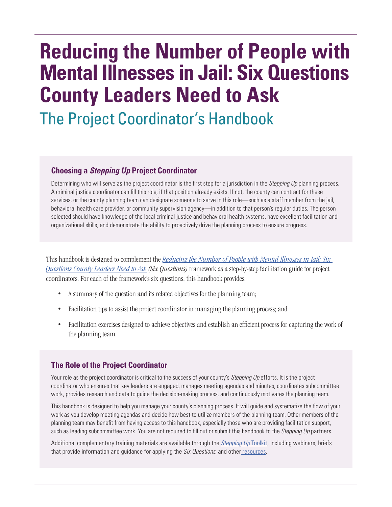# **Reducing the Number of People with Mental Illnesses in Jail: Six Questions County Leaders Need to Ask**

The Project Coordinator's Handbook

#### **Choosing a** *Stepping Up* **Project Coordinator**

Determining who will serve as the project coordinator is the first step for a jurisdiction in the *Stepping Up* planning process. A criminal justice coordinator can fill this role, if that position already exists. If not, the county can contract for these services, or the county planning team can designate someone to serve in this role—such as a staff member from the jail, behavioral health care provider, or community supervision agency—in addition to that person's regular duties. The person selected should have knowledge of the local criminal justice and behavioral health systems, have excellent facilitation and organizational skills, and demonstrate the ability to proactively drive the planning process to ensure progress.

This handbook is designed to complement the *[Reducing the Number of People with Mental Illnesses in Jail: Six](https://stepuptogether.org/wp-content/uploads/2017/01/Reducing-the-Number-of-People-with-Mental-Illnesses-in-Jail_Six-Questions.pdf) Questions County Leaders Need to Ask (Six Questions)* framework as a step-by-step facilitation guide for project coordinators. For each of the framework's six questions, this handbook provides:

- A summary of the question and its related objectives for the planning team;
- Facilitation tips to assist the project coordinator in managing the planning process; and
- Facilitation exercises designed to achieve objectives and establish an efficient process for capturing the work of the planning team.

#### **The Role of the Project Coordinator**

Your role as the project coordinator is critical to the success of your county's *Stepping Up* efforts. It is the project coordinator who ensures that key leaders are engaged, manages meeting agendas and minutes, coordinates subcommittee work, provides research and data to guide the decision-making process, and continuously motivates the planning team.

This handbook is designed to help you manage your county's planning process. It will guide and systematize the flow of your work as you develop meeting agendas and decide how best to utilize members of the planning team. Other members of the planning team may benefit from having access to this handbook, especially those who are providing facilitation support, such as leading subcommittee work. You are not required to fill out or submit this handbook to the *Stepping Up* partners.

Additional complementary training materials are available through the *[Stepping Up](https://stepuptogether.org/toolkit)* Toolkit, including webinars, briefs that provide information and guidance for applying the *Six Questions*, and other [resources](https://stepuptogether.org/key-resources).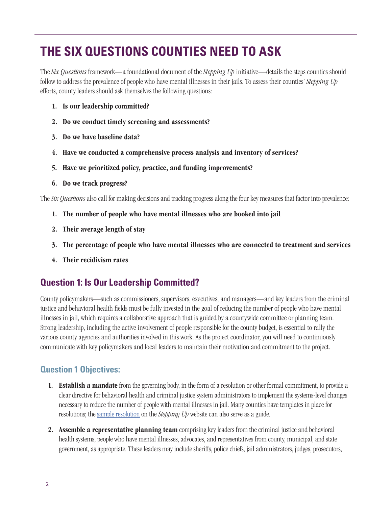# **THE SIX QUESTIONS COUNTIES NEED TO ASK**

The *Six Questions* framework—a foundational document of the *Stepping Up* initiative—details the steps counties should follow to address the prevalence of people who have mental illnesses in their jails. To assess their counties' *Stepping Up* efforts, county leaders should ask themselves the following questions:

- 1. Is our leadership committed?
- 2. Do we conduct timely screening and assessments?
- 3. Do we have baseline data?
- 4. Have we conducted a comprehensive process analysis and inventory of services?
- 5. Have we prioritized policy, practice, and funding improvements?
- 6. Do we track progress?

The *Six Questions* also call for making decisions and tracking progress along the four key measures that factor into prevalence:

- 1. The number of people who have mental illnesses who are booked into jail
- 2. Their average length of stay
- 3. The percentage of people who have mental illnesses who are connected to treatment and services
- 4. Their recidivism rates

# **Question 1: Is Our Leadership Committed?**

County policymakers—such as commissioners, supervisors, executives, and managers—and key leaders from the criminal justice and behavioral health fields must be fully invested in the goal of reducing the number of people who have mental illnesses in jail, which requires a collaborative approach that is guided by a countywide committee or planning team. Strong leadership, including the active involvement of people responsible for the county budget, is essential to rally the various county agencies and authorities involved in this work. As the project coordinator, you will need to continuously communicate with key policymakers and local leaders to maintain their motivation and commitment to the project.

## **Question 1 Objectives:**

- **1.** Establish a mandate from the governing body, in the form of a resolution or other formal commitment, to provide a clear directive for behavioral health and criminal justice system administrators to implement the systems-level changes necessary to reduce the number of people with mental illnesses in jail. Many counties have templates in place for resolutions; the [sample resolution](https://stepuptogether.org/stepping-up-initiative-county-resolution-template) on the *Stepping Up* website can also serve as a guide.
- 2. Assemble a representative planning team comprising key leaders from the criminal justice and behavioral health systems, people who have mental illnesses, advocates, and representatives from county, municipal, and state government, as appropriate. These leaders may include sheriffs, police chiefs, jail administrators, judges, prosecutors,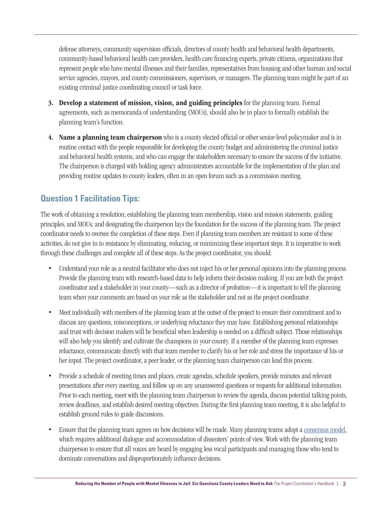defense attorneys, community supervision officials, directors of county health and behavioral health departments, community-based behavioral health care providers, health care financing experts, private citizens, organizations that represent people who have mental illnesses and their families, representatives from housing and other human and social service agencies, mayors, and county commissioners, supervisors, or managers. The planning team might be part of an existing criminal justice coordinating council or task force.

- 3. Develop a statement of mission, vision, and guiding principles for the planning team. Formal agreements, such as memoranda of understanding (MOUs), should also be in place to formally establish the planning team's function.
- 4. Name a planning team chairperson who is a county elected official or other senior-level policymaker and is in routine contact with the people responsible for developing the county budget and administering the criminal justice and behavioral health systems, and who can engage the stakeholders necessary to ensure the success of the initiative. The chairperson is charged with holding agency administrators accountable for the implementation of the plan and providing routine updates to county leaders, often in an open forum such as a commission meeting.

# **Question 1 Facilitation Tips:**

The work of obtaining a resolution; establishing the planning team membership, vision and mission statements, guiding principles, and MOUs; and designating the chairperson lays the foundation for the success of the planning team. The project coordinator needs to oversee the completion of these steps. Even if planning team members are resistant to some of these activities, do not give in to resistance by eliminating, reducing, or minimizing these important steps. It is imperative to work through these challenges and complete all of these steps. As the project coordinator, you should:

- Understand your role as a neutral facilitator who does not inject his or her personal opinions into the planning process. Provide the planning team with research-based data to help inform their decision making. If you are both the project coordinator and a stakeholder in your county—such as a director of probation—it is important to tell the planning team when your comments are based on your role as the stakeholder and not as the project coordinator.
- Meet individually with members of the planning team at the outset of the project to ensure their commitment and to discuss any questions, misconceptions, or underlying reluctance they may have. Establishing personal relationships and trust with decision makers will be beneficial when leadership is needed on a difficult subject. Those relationships will also help you identify and cultivate the champions in your county. If a member of the planning team expresses reluctance, communicate directly with that team member to clarify his or her role and stress the importance of his or her input. The project coordinator, a peer leader, or the planning team chairperson can lead this process.
- Provide a schedule of meeting times and places, create agendas, schedule speakers, provide minutes and relevant presentations after every meeting, and follow up on any unanswered questions or requests for additional information. Prior to each meeting, meet with the planning team chairperson to review the agenda, discuss potential talking points, review deadlines, and establish desired meeting objectives. During the first planning team meeting, it is also helpful to establish ground rules to guide discussions.
- Ensure that the planning team agrees on how decisions will be made. Many planning teams adopt a [consensus model,](https://www.consensusdecisionmaking.org)  which requires additional dialogue and accommodation of dissenters' points of view. Work with the planning team chairperson to ensure that all voices are heard by engaging less vocal participants and managing those who tend to dominate conversations and disproportionately influence decisions.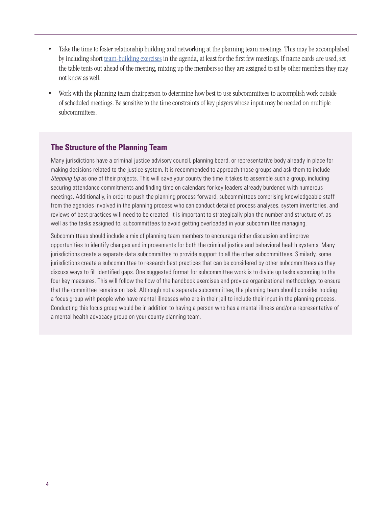- Take the time to foster relationship building and networking at the planning team meetings. This may be accomplished by including short [team-building exercises](https://www.leadersinstitute.com/team-building?gclid=EAIaIQobChMIrpeTp5b32wIVwrrACh2w1wiREAMYAyAAEgJaSfD_BwE) in the agenda, at least for the first few meetings. If name cards are used, set the table tents out ahead of the meeting, mixing up the members so they are assigned to sit by other members they may not know as well.
- Work with the planning team chairperson to determine how best to use subcommittees to accomplish work outside of scheduled meetings. Be sensitive to the time constraints of key players whose input may be needed on multiple subcommittees.

#### **The Structure of the Planning Team**

Many jurisdictions have a criminal justice advisory council, planning board, or representative body already in place for making decisions related to the justice system. It is recommended to approach those groups and ask them to include *Stepping Up* as one of their projects. This will save your county the time it takes to assemble such a group, including securing attendance commitments and finding time on calendars for key leaders already burdened with numerous meetings. Additionally, in order to push the planning process forward, subcommittees comprising knowledgeable staff from the agencies involved in the planning process who can conduct detailed process analyses, system inventories, and reviews of best practices will need to be created. It is important to strategically plan the number and structure of, as well as the tasks assigned to, subcommittees to avoid getting overloaded in your subcommittee managing.

Subcommittees should include a mix of planning team members to encourage richer discussion and improve opportunities to identify changes and improvements for both the criminal justice and behavioral health systems. Many jurisdictions create a separate data subcommittee to provide support to all the other subcommittees. Similarly, some jurisdictions create a subcommittee to research best practices that can be considered by other subcommittees as they discuss ways to fill identified gaps. One suggested format for subcommittee work is to divide up tasks according to the four key measures. This will follow the flow of the handbook exercises and provide organizational methodology to ensure that the committee remains on task. Although not a separate subcommittee, the planning team should consider holding a focus group with people who have mental illnesses who are in their jail to include their input in the planning process. Conducting this focus group would be in addition to having a person who has a mental illness and/or a representative of a mental health advocacy group on your county planning team.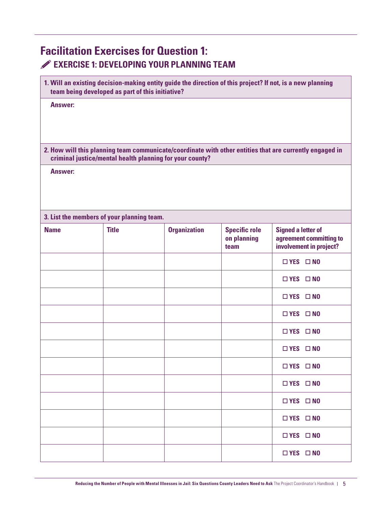# **Facilitation Exercises for Question 1: EXERCISE 1: DEVELOPING YOUR PLANNING TEAM**

|  |                                                  | 1. Will an existing decision-making entity guide the direction of this project? If not, is a new planning |
|--|--------------------------------------------------|-----------------------------------------------------------------------------------------------------------|
|  | team being developed as part of this initiative? |                                                                                                           |

**Answer:**

**2. How will this planning team communicate/coordinate with other entities that are currently engaged in criminal justice/mental health planning for your county?** 

**Answer:**

#### **3. List the members of your planning team.**

| <b>Name</b> | <b>Title</b> | <b>Organization</b> | <b>Specific role</b><br>on planning<br>team | <b>Signed a letter of</b><br>agreement committing to<br>involvement in project? |
|-------------|--------------|---------------------|---------------------------------------------|---------------------------------------------------------------------------------|
|             |              |                     |                                             | $\Box$ YES $\Box$ NO                                                            |
|             |              |                     |                                             | $\Box$ YES $\Box$ NO                                                            |
|             |              |                     |                                             | $\Box$ YES $\Box$ NO                                                            |
|             |              |                     |                                             | $\Box$ YES $\Box$ NO                                                            |
|             |              |                     |                                             | $\Box$ YES $\Box$ NO                                                            |
|             |              |                     |                                             | $\Box$ YES $\Box$ NO                                                            |
|             |              |                     |                                             | $\Box$ YES $\Box$ NO                                                            |
|             |              |                     |                                             | $\Box$ YES $\Box$ NO                                                            |
|             |              |                     |                                             | $\Box$ YES $\Box$ NO                                                            |
|             |              |                     |                                             | $\Box$ YES $\Box$ NO                                                            |
|             |              |                     |                                             | $\Box$ YES $\Box$ NO                                                            |
|             |              |                     |                                             | $\Box$ YES $\Box$ NO                                                            |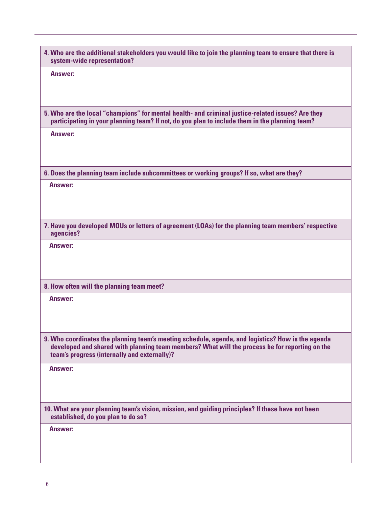| 4. Who are the additional stakeholders you would like to join the planning team to ensure that there is<br>system-wide representation?                                                                                                              |
|-----------------------------------------------------------------------------------------------------------------------------------------------------------------------------------------------------------------------------------------------------|
| <b>Answer:</b>                                                                                                                                                                                                                                      |
| 5. Who are the local "champions" for mental health- and criminal justice-related issues? Are they<br>participating in your planning team? If not, do you plan to include them in the planning team?                                                 |
| Answer:                                                                                                                                                                                                                                             |
| 6. Does the planning team include subcommittees or working groups? If so, what are they?                                                                                                                                                            |
| <b>Answer:</b>                                                                                                                                                                                                                                      |
| 7. Have you developed MOUs or letters of agreement (LOAs) for the planning team members' respective<br>agencies?                                                                                                                                    |
| Answer:                                                                                                                                                                                                                                             |
| 8. How often will the planning team meet?                                                                                                                                                                                                           |
| <b>Answer:</b>                                                                                                                                                                                                                                      |
| 9. Who coordinates the planning team's meeting schedule, agenda, and logistics? How is the agenda<br>developed and shared with planning team members? What will the process be for reporting on the<br>team's progress (internally and externally)? |
| <b>Answer:</b>                                                                                                                                                                                                                                      |
| 10. What are your planning team's vision, mission, and guiding principles? If these have not been<br>established, do you plan to do so?                                                                                                             |
| <b>Answer:</b>                                                                                                                                                                                                                                      |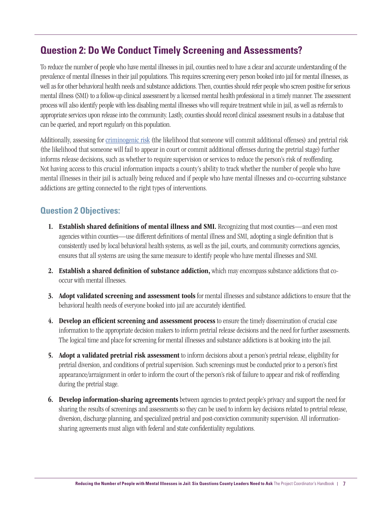# **Question 2: Do We Conduct Timely Screening and Assessments?**

To reduce the number of people who have mental illnesses in jail, counties need to have a clear and accurate understanding of the prevalence of mental illnesses in their jail populations. This requires screening every person booked into jail for mental illnesses, as well as for other behavioral health needs and substance addictions. Then, counties should refer people who screen positive for serious mental illness (SMI) to a follow-up clinical assessment by a licensed mental health professional in a timely manner. The assessment process will also identify people with less disabling mental illnesses who will require treatment while in jail, as well as referrals to appropriate services upon release into the community. Lastly, counties should record clinical assessment results in a database that can be queried, and report regularly on this population.

Additionally, assessing for [criminogenic risk \(](https://csgjusticecenter.org/reentry/principles-of-recidivism-reduction/)the likelihood that someone will commit additional offenses) and pretrial risk (the likelihood that someone will fail to appear in court or commit additional offenses during the pretrial stage) further informs release decisions, such as whether to require supervision or services to reduce the person's risk of reoffending. Not having access to this crucial information impacts a county's ability to track whether the number of people who have mental illnesses in their jail is actually being reduced and if people who have mental illnesses and co-occurring substance addictions are getting connected to the right types of interventions.

## **Question 2 Objectives:**

- 1. Establish shared definitions of mental illness and SMI. Recognizing that most counties—and even most agencies within counties—use different definitions of mental illness and SMI, adopting a single definition that is consistently used by local behavioral health systems, as well as the jail, courts, and community corrections agencies, ensures that all systems are using the same measure to identify people who have mental illnesses and SMI.
- 2. Establish a shared definition of substance addiction, which may encompass substance addictions that cooccur with mental illnesses.
- 3. Adopt validated screening and assessment tools for mental illnesses and substance addictions to ensure that the behavioral health needs of everyone booked into jail are accurately identified.
- 4. Develop an efficient screening and assessment process to ensure the timely dissemination of crucial case information to the appropriate decision makers to inform pretrial release decisions and the need for further assessments. The logical time and place for screening for mental illnesses and substance addictions is at booking into the jail.
- 5. Adopt a validated pretrial risk assessment to inform decisions about a person's pretrial release, eligibility for pretrial diversion, and conditions of pretrial supervision. Such screenings must be conducted prior to a person's first appearance/arraignment in order to inform the court of the person's risk of failure to appear and risk of reoffending during the pretrial stage.
- **6.** Develop information-sharing agreements between agencies to protect people's privacy and support the need for sharing the results of screenings and assessments so they can be used to inform key decisions related to pretrial release, diversion, discharge planning, and specialized pretrial and post-conviction community supervision. All informationsharing agreements must align with federal and state confidentiality regulations.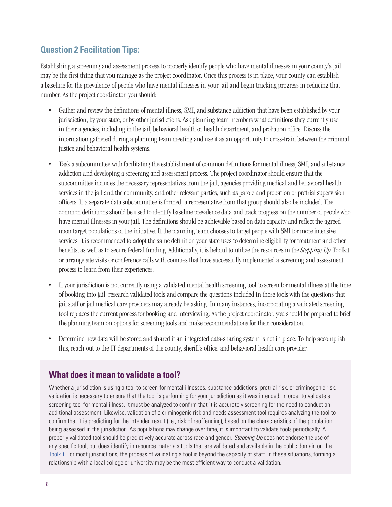### **Question 2 Facilitation Tips:**

Establishing a screening and assessment process to properly identify people who have mental illnesses in your county's jail may be the first thing that you manage as the project coordinator. Once this process is in place, your county can establish a baseline for the prevalence of people who have mental illnesses in your jail and begin tracking progress in reducing that number. As the project coordinator, you should:

- Gather and review the definitions of mental illness, SMI, and substance addiction that have been established by your jurisdiction, by your state, or by other jurisdictions. Ask planning team members what definitions they currently use in their agencies, including in the jail, behavioral health or health department, and probation office. Discuss the information gathered during a planning team meeting and use it as an opportunity to cross-train between the criminal justice and behavioral health systems.
- Task a subcommittee with facilitating the establishment of common definitions for mental illness, SMI, and substance addiction and developing a screening and assessment process. The project coordinator should ensure that the subcommittee includes the necessary representatives from the jail, agencies providing medical and behavioral health services in the jail and the community, and other relevant parties, such as parole and probation or pretrial supervision officers. If a separate data subcommittee is formed, a representative from that group should also be included. The common definitions should be used to identify baseline prevalence data and track progress on the number of people who have mental illnesses in your jail. The definitions should be achievable based on data capacity and reflect the agreed upon target populations of the initiative. If the planning team chooses to target people with SMI for more intensive services, it is recommended to adopt the same definition your state uses to determine eligibility for treatment and other benefits, as well as to secure federal funding. Additionally, it is helpful to utilize the resources in the *Stepping Up* Toolkit or arrange site visits or conference calls with counties that have successfully implemented a screening and assessment process to learn from their experiences.
- If your jurisdiction is not currently using a validated mental health screening tool to screen for mental illness at the time of booking into jail, research validated tools and compare the questions included in those tools with the questions that jail staff or jail medical care providers may already be asking. In many instances, incorporating a validated screening tool replaces the current process for booking and interviewing. As the project coordinator, you should be prepared to brief the planning team on options for screening tools and make recommendations for their consideration.
- Determine how data will be stored and shared if an integrated data-sharing system is not in place. To help accomplish this, reach out to the IT departments of the county, sheriff's office, and behavioral health care provider.

### **What does it mean to validate a tool?**

Whether a jurisdiction is using a tool to screen for mental illnesses, substance addictions, pretrial risk, or criminogenic risk, validation is necessary to ensure that the tool is performing for your jurisdiction as it was intended. In order to validate a screening tool for mental illness, it must be analyzed to confirm that it is accurately screening for the need to conduct an additional assessment. Likewise, validation of a criminogenic risk and needs assessment tool requires analyzing the tool to confirm that it is predicting for the intended result (i.e., risk of reoffending), based on the characteristics of the population being assessed in the jurisdiction. As populations may change over time, it is important to validate tools periodically. A properly validated tool should be predictively accurate across race and gender. *Stepping Up* does not endorse the use of any specific tool, but does identify in resource materials tools that are validated and available in the public domain on the Toolkit. For most jurisdictions, the process of validating a tool is beyond the capacity of staff. In these situations, forming a relationship with a local college or university may be the most efficient way to conduct a validation.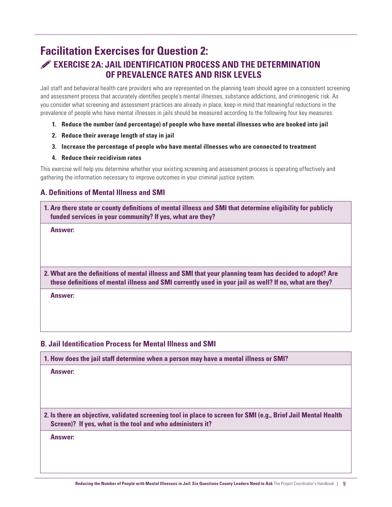# **Facilitation Exercises for Question 2: EXERCISE 2A: JAIL IDENTIFICATION PROCESS AND THE DETERMINATION OF PREVALENCE RATES AND RISK LEVELS**

Jail staff and behavioral health care providers who are represented on the planning team should agree on a consistent screening and assessment process that accurately identifies people's mental illnesses, substance addictions, and criminogenic risk. As you consider what screening and assessment practices are already in place, keep in mind that meaningful reductions in the prevalence of people who have mental illnesses in jails should be measured according to the following four key measures:

- **1. Reduce the number (and percentage) of people who have mental illnesses who are booked into jail**
- **2. Reduce their average length of stay in jail**
- **3. Increase the percentage of people who have mental illnesses who are connected to treatment**
- **4. Reduce their recidivism rates**

This exercise will help you determine whether your existing screening and assessment process is operating effectively and gathering the information necessary to improve outcomes in your criminal justice system.

#### **A. Definitions of Mental Illness and SMI**

**1. Are there state or county definitions of mental illness and SMI that determine eligibility for publicly funded services in your community? If yes, what are they?**

**Answer:**

**2. What are the definitions of mental illness and SMI that your planning team has decided to adopt? Are these definitions of mental illness and SMI currently used in your jail as well? If no, what are they?**

**Answer:**

#### **B. Jail Identification Process for Mental Illness and SMI**

**1. How does the jail staff determine when a person may have a mental illness or SMI?**

**Answer:**

**2. Is there an objective, validated screening tool in place to screen for SMI (e.g., Brief Jail Mental Health Screen)? If yes, what is the tool and who administers it?**

**Answer:**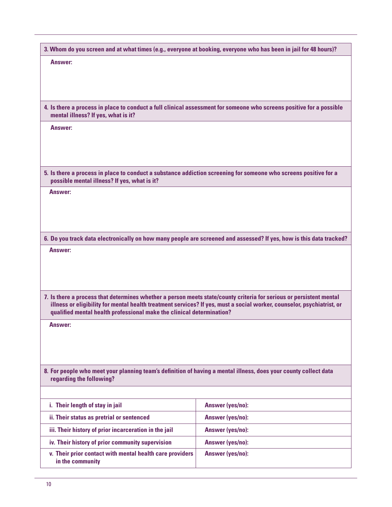| 3. Whom do you screen and at what times (e.g., everyone at booking, everyone who has been in jail for 48 hours)?                                                                                                                                                                                                       |                  |  |
|------------------------------------------------------------------------------------------------------------------------------------------------------------------------------------------------------------------------------------------------------------------------------------------------------------------------|------------------|--|
| <b>Answer:</b>                                                                                                                                                                                                                                                                                                         |                  |  |
|                                                                                                                                                                                                                                                                                                                        |                  |  |
|                                                                                                                                                                                                                                                                                                                        |                  |  |
|                                                                                                                                                                                                                                                                                                                        |                  |  |
| 4. Is there a process in place to conduct a full clinical assessment for someone who screens positive for a possible<br>mental illness? If yes, what is it?                                                                                                                                                            |                  |  |
| Answer:                                                                                                                                                                                                                                                                                                                |                  |  |
|                                                                                                                                                                                                                                                                                                                        |                  |  |
|                                                                                                                                                                                                                                                                                                                        |                  |  |
|                                                                                                                                                                                                                                                                                                                        |                  |  |
| 5. Is there a process in place to conduct a substance addiction screening for someone who screens positive for a<br>possible mental illness? If yes, what is it?                                                                                                                                                       |                  |  |
| Answer:                                                                                                                                                                                                                                                                                                                |                  |  |
|                                                                                                                                                                                                                                                                                                                        |                  |  |
|                                                                                                                                                                                                                                                                                                                        |                  |  |
|                                                                                                                                                                                                                                                                                                                        |                  |  |
| 6. Do you track data electronically on how many people are screened and assessed? If yes, how is this data tracked?                                                                                                                                                                                                    |                  |  |
| Answer:                                                                                                                                                                                                                                                                                                                |                  |  |
|                                                                                                                                                                                                                                                                                                                        |                  |  |
|                                                                                                                                                                                                                                                                                                                        |                  |  |
|                                                                                                                                                                                                                                                                                                                        |                  |  |
| 7. Is there a process that determines whether a person meets state/county criteria for serious or persistent mental<br>illness or eligibility for mental health treatment services? If yes, must a social worker, counselor, psychiatrist, or<br>qualified mental health professional make the clinical determination? |                  |  |
| <b>Answer:</b>                                                                                                                                                                                                                                                                                                         |                  |  |
|                                                                                                                                                                                                                                                                                                                        |                  |  |
|                                                                                                                                                                                                                                                                                                                        |                  |  |
|                                                                                                                                                                                                                                                                                                                        |                  |  |
| 8. For people who meet your planning team's definition of having a mental illness, does your county collect data<br>regarding the following?                                                                                                                                                                           |                  |  |
|                                                                                                                                                                                                                                                                                                                        |                  |  |
|                                                                                                                                                                                                                                                                                                                        |                  |  |
| i. Their length of stay in jail                                                                                                                                                                                                                                                                                        | Answer (yes/no): |  |
| ii. Their status as pretrial or sentenced                                                                                                                                                                                                                                                                              | Answer (yes/no): |  |
| iii. Their history of prior incarceration in the jail                                                                                                                                                                                                                                                                  | Answer (yes/no): |  |
| iv. Their history of prior community supervision                                                                                                                                                                                                                                                                       | Answer (yes/no): |  |
| v. Their prior contact with mental health care providers<br>in the community                                                                                                                                                                                                                                           | Answer (yes/no): |  |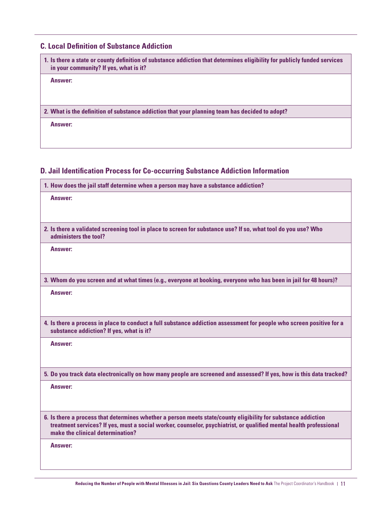#### **C. Local Definition of Substance Addiction**

| 1. Is there a state or county definition of substance addiction that determines eligibility for publicly funded services<br>in your community? If yes, what is it? |
|--------------------------------------------------------------------------------------------------------------------------------------------------------------------|
| Answer:                                                                                                                                                            |
|                                                                                                                                                                    |
|                                                                                                                                                                    |
| 2. What is the definition of substance addiction that your planning team has decided to adopt?                                                                     |
| Answer:                                                                                                                                                            |
|                                                                                                                                                                    |
|                                                                                                                                                                    |
|                                                                                                                                                                    |

#### **D. Jail Identification Process for Co-occurring Substance Addiction Information**

**1. How does the jail staff determine when a person may have a substance addiction?**

| Answer:                                                                                                       |
|---------------------------------------------------------------------------------------------------------------|
| 2. Is there a validated screening tool in place to screen for substance use? If so, what tool do you use? Who |
| administers the tool?                                                                                         |
| Answer:                                                                                                       |
|                                                                                                               |

**3. Whom do you screen and at what times (e.g., everyone at booking, everyone who has been in jail for 48 hours)?**

**Answer:**

**4. Is there a process in place to conduct a full substance addiction assessment for people who screen positive for a substance addiction? If yes, what is it?**

**Answer:** 

**5. Do you track data electronically on how many people are screened and assessed? If yes, how is this data tracked?**

**Answer:** 

**6. Is there a process that determines whether a person meets state/county eligibility for substance addiction treatment services? If yes, must a social worker, counselor, psychiatrist, or qualified mental health professional make the clinical determination?**

**Answer:**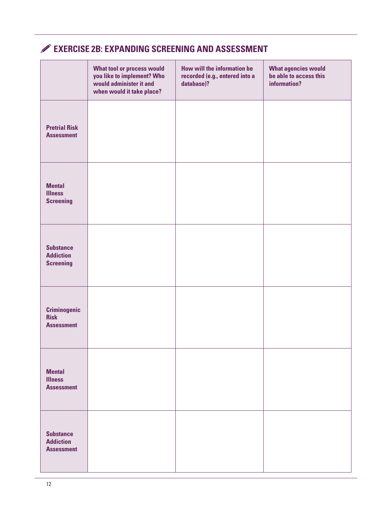# **EXERCISE 2B: EXPANDING SCREENING AND ASSESSMENT**

|                                                           | <b>What tool or process would</b><br>you like to implement? Who<br>would administer it and<br>when would it take place? | How will the information be<br>recorded (e.g., entered into a<br>database)? | <b>What agencies would</b><br>be able to access this<br>information? |
|-----------------------------------------------------------|-------------------------------------------------------------------------------------------------------------------------|-----------------------------------------------------------------------------|----------------------------------------------------------------------|
| <b>Pretrial Risk</b><br><b>Assessment</b>                 |                                                                                                                         |                                                                             |                                                                      |
| <b>Mental</b><br><b>Illness</b><br><b>Screening</b>       |                                                                                                                         |                                                                             |                                                                      |
| <b>Substance</b><br><b>Addiction</b><br><b>Screening</b>  |                                                                                                                         |                                                                             |                                                                      |
| <b>Criminogenic</b><br><b>Risk</b><br><b>Assessment</b>   |                                                                                                                         |                                                                             |                                                                      |
| <b>Mental</b><br><b>Illness</b><br><b>Assessment</b>      |                                                                                                                         |                                                                             |                                                                      |
| <b>Substance</b><br><b>Addiction</b><br><b>Assessment</b> |                                                                                                                         |                                                                             |                                                                      |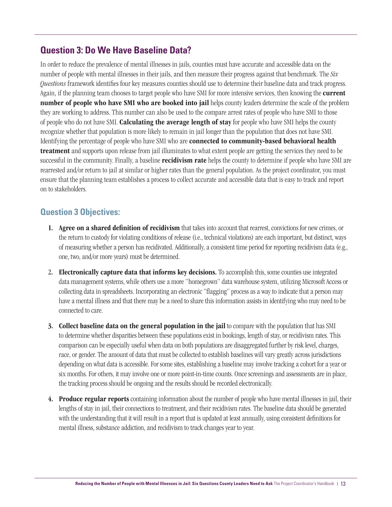# **Question 3: Do We Have Baseline Data?**

In order to reduce the prevalence of mental illnesses in jails, counties must have accurate and accessible data on the number of people with mental illnesses in their jails, and then measure their progress against that benchmark. The *Six Questions* framework identifies four key measures counties should use to determine their baseline data and track progress. Again, if the planning team chooses to target people who have SMI for more intensive services, then knowing the current number of people who have SMI who are booked into jail helps county leaders determine the scale of the problem they are working to address. This number can also be used to the compare arrest rates of people who have SMI to those of people who do not have SMI. **Calculating the average length of stay** for people who have SMI helps the county recognize whether that population is more likely to remain in jail longer than the population that does not have SMI. Identifying the percentage of people who have SMI who are **connected to community-based behavioral health** treatment and supports upon release from jail illuminates to what extent people are getting the services they need to be successful in the community. Finally, a baseline recidivism rate helps the county to determine if people who have SMI are rearrested and/or return to jail at similar or higher rates than the general population. As the project coordinator, you must ensure that the planning team establishes a process to collect accurate and accessible data that is easy to track and report on to stakeholders.

## **Question 3 Objectives:**

- 1. Agree on a shared definition of recidivism that takes into account that rearrest, convictions for new crimes, or the return to custody for violating conditions of release (i.e., technical violations) are each important, but distinct, ways of measuring whether a person has recidivated. Additionally, a consistent time period for reporting recidivism data (e.g., one, two, and/or more years) must be determined.
- 2. Electronically capture data that informs key decisions. To accomplish this, some counties use integrated data management systems, while others use a more "homegrown" data warehouse system, utilizing Microsoft Access or collecting data in spreadsheets. Incorporating an electronic "flagging" process as a way to indicate that a person may have a mental illness and that there may be a need to share this information assists in identifying who may need to be connected to care.
- 3. Collect baseline data on the general population in the jail to compare with the population that has SMI to determine whether disparities between these populations exist in bookings, length of stay, or recidivism rates. This comparison can be especially useful when data on both populations are disaggregated further by risk level, charges, race, or gender. The amount of data that must be collected to establish baselines will vary greatly across jurisdictions depending on what data is accessible. For some sites, establishing a baseline may involve tracking a cohort for a year or six months. For others, it may involve one or more point-in-time counts. Once screenings and assessments are in place, the tracking process should be ongoing and the results should be recorded electronically.
- 4. Produce regular reports containing information about the number of people who have mental illnesses in jail, their lengths of stay in jail, their connections to treatment, and their recidivism rates. The baseline data should be generated with the understanding that it will result in a report that is updated at least annually, using consistent definitions for mental illness, substance addiction, and recidivism to track changes year to year.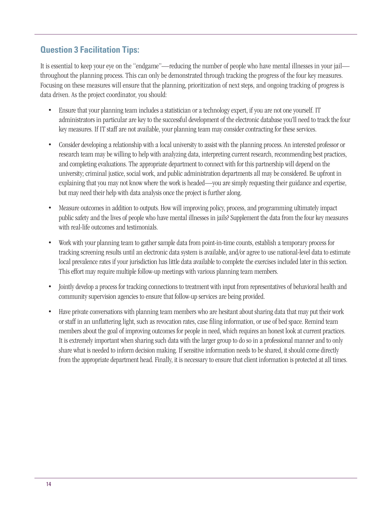## **Question 3 Facilitation Tips:**

It is essential to keep your eye on the "endgame"—reducing the number of people who have mental illnesses in your jail throughout the planning process. This can only be demonstrated through tracking the progress of the four key measures. Focusing on these measures will ensure that the planning, prioritization of next steps, and ongoing tracking of progress is data driven. As the project coordinator, you should:

- Ensure that your planning team includes a statistician or a technology expert, if you are not one yourself. IT administrators in particular are key to the successful development of the electronic database you'll need to track the four key measures. If IT staff are not available, your planning team may consider contracting for these services.
- Consider developing a relationship with a local university to assist with the planning process. An interested professor or research team may be willing to help with analyzing data, interpreting current research, recommending best practices, and completing evaluations. The appropriate department to connect with for this partnership will depend on the university; criminal justice, social work, and public administration departments all may be considered. Be upfront in explaining that you may not know where the work is headed—you are simply requesting their guidance and expertise, but may need their help with data analysis once the project is further along.
- Measure outcomes in addition to outputs. How will improving policy, process, and programming ultimately impact public safety and the lives of people who have mental illnesses in jails? Supplement the data from the four key measures with real-life outcomes and testimonials.
- Work with your planning team to gather sample data from point-in-time counts, establish a temporary process for tracking screening results until an electronic data system is available, and/or agree to use national-level data to estimate local prevalence rates if your jurisdiction has little data available to complete the exercises included later in this section. This effort may require multiple follow-up meetings with various planning team members.
- Jointly develop a process for tracking connections to treatment with input from representatives of behavioral health and community supervision agencies to ensure that follow-up services are being provided.
- Have private conversations with planning team members who are hesitant about sharing data that may put their work or staff in an unflattering light, such as revocation rates, case filing information, or use of bed space. Remind team members about the goal of improving outcomes for people in need, which requires an honest look at current practices. It is extremely important when sharing such data with the larger group to do so in a professional manner and to only share what is needed to inform decision making. If sensitive information needs to be shared, it should come directly from the appropriate department head. Finally, it is necessary to ensure that client information is protected at all times.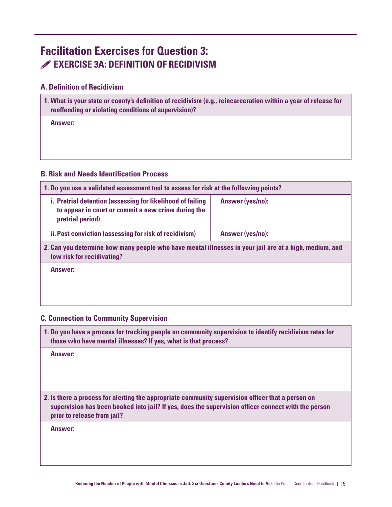# **Facilitation Exercises for Question 3: EXERCISE 3A: DEFINITION OF RECIDIVISM**

#### **A. Definition of Recidivism**

| 1. What is your state or county's definition of recidivism (e.g., reincarceration within a year of release for |
|----------------------------------------------------------------------------------------------------------------|
| reoffending or violating conditions of supervision)?                                                           |

**Answer:**

#### **B. Risk and Needs Identification Process**

| 1. Do you use a validated assessment tool to assess for risk at the following points?                                                 |                  |  |
|---------------------------------------------------------------------------------------------------------------------------------------|------------------|--|
| i. Pretrial detention (assessing for likelihood of failing<br>to appear in court or commit a new crime during the<br>pretrial period) | Answer (yes/no): |  |
| ii. Post conviction (assessing for risk of recidivism)                                                                                | Answer (yes/no): |  |
| 2. Can you determine how many people who have mental illnesses in your jail are at a high, medium, and<br>low risk for recidivating?  |                  |  |

**Answer:**

#### **C. Connection to Community Supervision**

**1. Do you have a process for tracking people on community supervision to identify recidivism rates for those who have mental illnesses? If yes, what is that process?**

**Answer:**

**2. Is there a process for alerting the appropriate community supervision officer that a person on supervision has been booked into jail? If yes, does the supervision officer connect with the person prior to release from jail?**

**Answer:**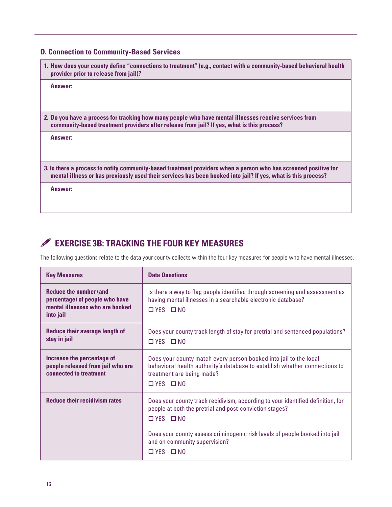#### **D. Connection to Community-Based Services**

| 1. How does your county define "connections to treatment" (e.g., contact with a community-based behavioral health<br>provider prior to release from jail)?                                                                       |
|----------------------------------------------------------------------------------------------------------------------------------------------------------------------------------------------------------------------------------|
| Answer:                                                                                                                                                                                                                          |
| 2. Do you have a process for tracking how many people who have mental illnesses receive services from<br>community-based treatment providers after release from jail? If yes, what is this process?                              |
| Answer:                                                                                                                                                                                                                          |
| 3. Is there a process to notify community-based treatment providers when a person who has screened positive for<br>mental illness or has previously used their services has been booked into jail? If yes, what is this process? |
| Answer:                                                                                                                                                                                                                          |

# **EXERCISE 3B: TRACKING THE FOUR KEY MEASURES**

The following questions relate to the data your county collects within the four key measures for people who have mental illnesses.

| <b>Key Measures</b>                                                                                                    | <b>Data Questions</b>                                                                                                                                                                                |
|------------------------------------------------------------------------------------------------------------------------|------------------------------------------------------------------------------------------------------------------------------------------------------------------------------------------------------|
| <b>Reduce the number (and</b><br>percentage) of people who have<br>mental illnesses who are booked<br><i>into jail</i> | Is there a way to flag people identified through screening and assessment as<br>having mental illnesses in a searchable electronic database?<br>$\Box$ YES $\Box$ NO                                 |
| <b>Reduce their average length of</b><br>stay in jail                                                                  | Does your county track length of stay for pretrial and sentenced populations?<br>$\Box$ YES $\Box$ NO                                                                                                |
| Increase the percentage of<br>people released from jail who are<br>connected to treatment                              | Does your county match every person booked into jail to the local<br>behavioral health authority's database to establish whether connections to<br>treatment are being made?<br>$\Box$ YES $\Box$ NO |
| <b>Reduce their recidivism rates</b>                                                                                   | Does your county track recidivism, according to your identified definition, for<br>people at both the pretrial and post-conviction stages?<br>$\Box$ YES $\Box$ NO                                   |
|                                                                                                                        | Does your county assess criminogenic risk levels of people booked into jail<br>and on community supervision?<br>$\Box$ YES $\Box$ NO                                                                 |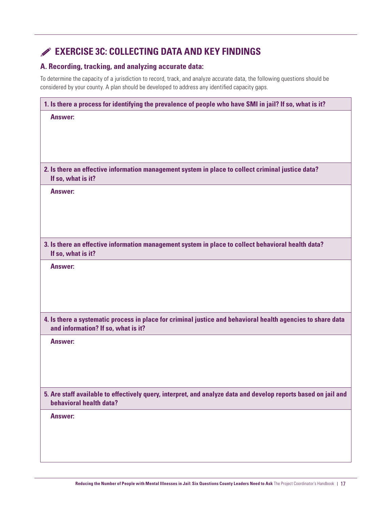# **EXERCISE 3C: COLLECTING DATA AND KEY FINDINGS**

#### **A. Recording, tracking, and analyzing accurate data:**

To determine the capacity of a jurisdiction to record, track, and analyze accurate data, the following questions should be considered by your county. A plan should be developed to address any identified capacity gaps.

| 1. Is there a process for identifying the prevalence of people who have SMI in jail? If so, what is it?                                            |
|----------------------------------------------------------------------------------------------------------------------------------------------------|
| <b>Answer:</b>                                                                                                                                     |
|                                                                                                                                                    |
|                                                                                                                                                    |
|                                                                                                                                                    |
| 2. Is there an effective information management system in place to collect criminal justice data?<br>If so, what is it?                            |
| <b>Answer:</b>                                                                                                                                     |
|                                                                                                                                                    |
|                                                                                                                                                    |
|                                                                                                                                                    |
| 3. Is there an effective information management system in place to collect behavioral health data?<br>If so, what is it?                           |
| <b>Answer:</b>                                                                                                                                     |
|                                                                                                                                                    |
|                                                                                                                                                    |
|                                                                                                                                                    |
| 4. Is there a systematic process in place for criminal justice and behavioral health agencies to share data<br>and information? If so, what is it? |
| <b>Answer:</b>                                                                                                                                     |
|                                                                                                                                                    |
|                                                                                                                                                    |
|                                                                                                                                                    |
| 5. Are staff available to effectively query, interpret, and analyze data and develop reports based on jail and<br>behavioral health data?          |
| <b>Answer:</b>                                                                                                                                     |
|                                                                                                                                                    |
|                                                                                                                                                    |
|                                                                                                                                                    |
|                                                                                                                                                    |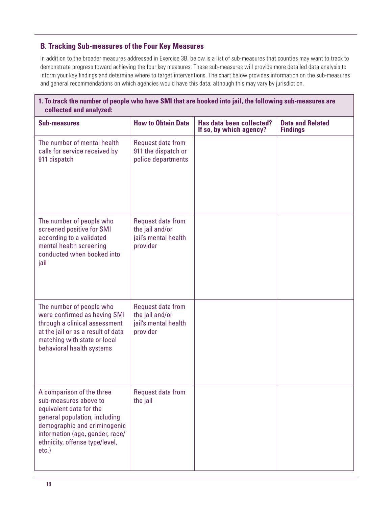#### **B. Tracking Sub-measures of the Four Key Measures**

In addition to the broader measures addressed in Exercise 3B, below is a list of sub-measures that counties may want to track to demonstrate progress toward achieving the four key measures. These sub-measures will provide more detailed data analysis to inform your key findings and determine where to target interventions. The chart below provides information on the sub-measures and general recommendations on which agencies would have this data, although this may vary by jurisdiction.

| 1. To track the number of people who have SMI that are booked into jail, the following sub-measures are<br>collected and analyzed:                                                                                              |                                                                          |                                                     |                                            |
|---------------------------------------------------------------------------------------------------------------------------------------------------------------------------------------------------------------------------------|--------------------------------------------------------------------------|-----------------------------------------------------|--------------------------------------------|
| <b>Sub-measures</b>                                                                                                                                                                                                             | <b>How to Obtain Data</b>                                                | Has data been collected?<br>If so, by which agency? | <b>Data and Related</b><br><b>Findings</b> |
| The number of mental health<br>calls for service received by<br>911 dispatch                                                                                                                                                    | Request data from<br>911 the dispatch or<br>police departments           |                                                     |                                            |
| The number of people who<br>screened positive for SMI<br>according to a validated<br>mental health screening<br>conducted when booked into<br>jail                                                                              | Request data from<br>the jail and/or<br>jail's mental health<br>provider |                                                     |                                            |
| The number of people who<br>were confirmed as having SMI<br>through a clinical assessment<br>at the jail or as a result of data<br>matching with state or local<br>behavioral health systems                                    | Request data from<br>the jail and/or<br>jail's mental health<br>provider |                                                     |                                            |
| A comparison of the three<br>sub-measures above to<br>equivalent data for the<br>general population, including<br>demographic and criminogenic<br>information (age, gender, race/<br>ethnicity, offense type/level,<br>$etc.$ ) | Request data from<br>the jail                                            |                                                     |                                            |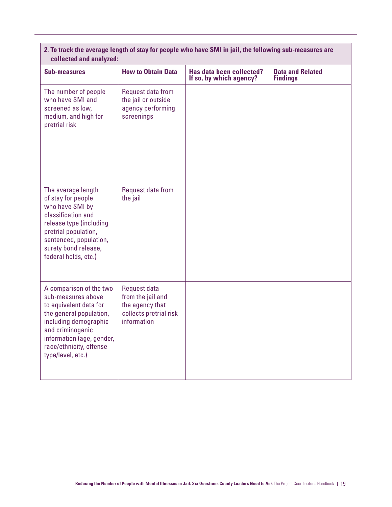| 2. To track the average length of stay for people who have SMI in jail, the following sub-measures are |  |
|--------------------------------------------------------------------------------------------------------|--|
| collected and analyzed:                                                                                |  |

| <b>Sub-measures</b>                                                                                                                                                                                                          | <b>How to Obtain Data</b>                                                                     | Has data been collected?<br>If so, by which agency? | <b>Data and Related</b><br><b>Findings</b> |
|------------------------------------------------------------------------------------------------------------------------------------------------------------------------------------------------------------------------------|-----------------------------------------------------------------------------------------------|-----------------------------------------------------|--------------------------------------------|
| The number of people<br>who have SMI and<br>screened as low,<br>medium, and high for<br>pretrial risk                                                                                                                        | Request data from<br>the jail or outside<br>agency performing<br>screenings                   |                                                     |                                            |
| The average length<br>of stay for people<br>who have SMI by<br>classification and<br>release type (including<br>pretrial population,<br>sentenced, population,<br>surety bond release,<br>federal holds, etc.)               | Request data from<br>the jail                                                                 |                                                     |                                            |
| A comparison of the two<br>sub-measures above<br>to equivalent data for<br>the general population,<br>including demographic<br>and criminogenic<br>information (age, gender,<br>race/ethnicity, offense<br>type/level, etc.) | Request data<br>from the jail and<br>the agency that<br>collects pretrial risk<br>information |                                                     |                                            |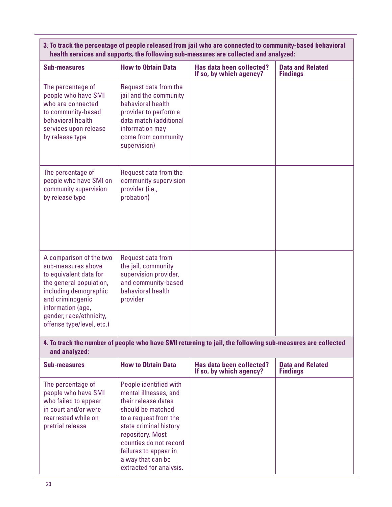| health services and supports, the following sub-measures are collected and analyzed:                                                                                                            |                                                                                                                                                                                   |                                                     |                                            |
|-------------------------------------------------------------------------------------------------------------------------------------------------------------------------------------------------|-----------------------------------------------------------------------------------------------------------------------------------------------------------------------------------|-----------------------------------------------------|--------------------------------------------|
| <b>Sub-measures</b>                                                                                                                                                                             | <b>How to Obtain Data</b>                                                                                                                                                         | Has data been collected?<br>If so, by which agency? | <b>Data and Related</b><br><b>Findings</b> |
| The percentage of<br>people who have SMI<br>who are connected<br>to community-based<br>behavioral health<br>services upon release<br>by release type                                            | Request data from the<br>jail and the community<br>behavioral health<br>provider to perform a<br>data match (additional<br>information may<br>come from community<br>supervision) |                                                     |                                            |
| The percentage of<br>people who have SMI on<br>community supervision<br>by release type                                                                                                         | Request data from the<br>community supervision<br>provider (i.e.,<br>probation)                                                                                                   |                                                     |                                            |
| A comparison of the two<br>sub-measures above<br>to equivalent data for<br>the general population,<br>including demographic<br>and criminogenic<br>information (age,<br>gender, race/ethnicity, | Request data from<br>the jail, community<br>supervision provider,<br>and community-based<br>behavioral health<br>provider                                                         |                                                     |                                            |

#### **3. To track the percentage of people released from jail who are connected to community-based behavioral health services and supports, the following sub-measures are collected and analyzed:**

#### **4. To track the number of people who have SMI returning to jail, the following sub-measures are collected and analyzed:**

| <b>Sub-measures</b>                                                                                                                 | <b>How to Obtain Data</b>                                                                                                                                                                                                                                             | Has data been collected?<br>If so, by which agency? | <b>Data and Related</b><br><b>Findings</b> |
|-------------------------------------------------------------------------------------------------------------------------------------|-----------------------------------------------------------------------------------------------------------------------------------------------------------------------------------------------------------------------------------------------------------------------|-----------------------------------------------------|--------------------------------------------|
| The percentage of<br>people who have SMI<br>who failed to appear<br>in court and/or were<br>rearrested while on<br>pretrial release | People identified with<br>mental illnesses, and<br>their release dates<br>should be matched<br>to a request from the<br>state criminal history<br>repository. Most<br>counties do not record<br>failures to appear in<br>a way that can be<br>extracted for analysis. |                                                     |                                            |

offense type/level, etc.)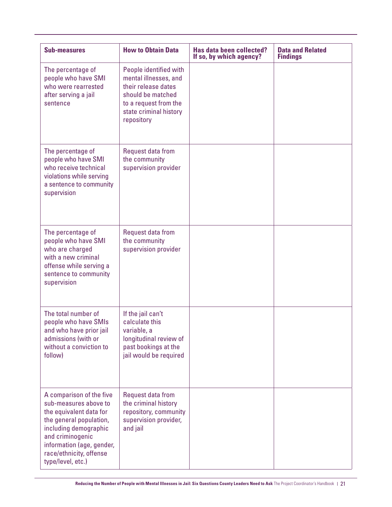| <b>Sub-measures</b>                                                                                                                                                                                                               | <b>How to Obtain Data</b>                                                                                                                                    | Has data been collected?<br>If so, by which agency? | <b>Data and Related</b><br><b>Findings</b> |
|-----------------------------------------------------------------------------------------------------------------------------------------------------------------------------------------------------------------------------------|--------------------------------------------------------------------------------------------------------------------------------------------------------------|-----------------------------------------------------|--------------------------------------------|
| The percentage of<br>people who have SMI<br>who were rearrested<br>after serving a jail<br>sentence                                                                                                                               | People identified with<br>mental illnesses, and<br>their release dates<br>should be matched<br>to a request from the<br>state criminal history<br>repository |                                                     |                                            |
| The percentage of<br>people who have SMI<br>who receive technical<br>violations while serving<br>a sentence to community<br>supervision                                                                                           | Request data from<br>the community<br>supervision provider                                                                                                   |                                                     |                                            |
| The percentage of<br>people who have SMI<br>who are charged<br>with a new criminal<br>offense while serving a<br>sentence to community<br>supervision                                                                             | Request data from<br>the community<br>supervision provider                                                                                                   |                                                     |                                            |
| The total number of<br>people who have SMIs<br>and who have prior jail<br>admissions (with or<br>without a conviction to<br>follow)                                                                                               | If the jail can't<br>calculate this<br>variable, a<br>longitudinal review of<br>past bookings at the<br>jail would be required                               |                                                     |                                            |
| A comparison of the five<br>sub-measures above to<br>the equivalent data for<br>the general population,<br>including demographic<br>and criminogenic<br>information (age, gender,<br>race/ethnicity, offense<br>type/level, etc.) | Request data from<br>the criminal history<br>repository, community<br>supervision provider,<br>and jail                                                      |                                                     |                                            |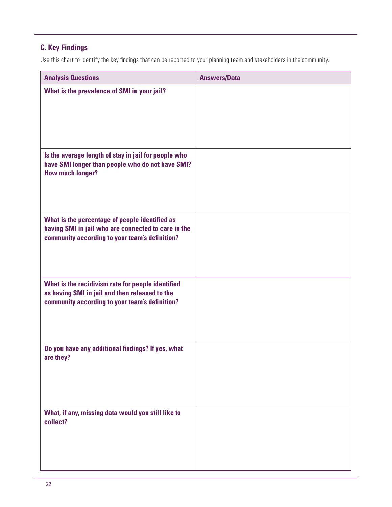# **C. Key Findings**

Use this chart to identify the key findings that can be reported to your planning team and stakeholders in the community.

| <b>Analysis Questions</b>                                                                                                                               | <b>Answers/Data</b> |
|---------------------------------------------------------------------------------------------------------------------------------------------------------|---------------------|
| What is the prevalence of SMI in your jail?                                                                                                             |                     |
| Is the average length of stay in jail for people who<br>have SMI longer than people who do not have SMI?<br><b>How much longer?</b>                     |                     |
| What is the percentage of people identified as<br>having SMI in jail who are connected to care in the<br>community according to your team's definition? |                     |
| What is the recidivism rate for people identified<br>as having SMI in jail and then released to the<br>community according to your team's definition?   |                     |
| Do you have any additional findings? If yes, what<br>are they?                                                                                          |                     |
| What, if any, missing data would you still like to<br>collect?                                                                                          |                     |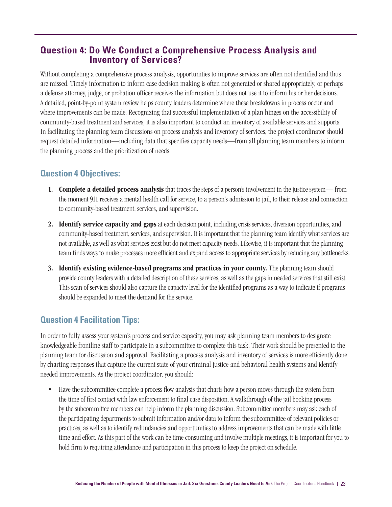# **Question 4: Do We Conduct a Comprehensive Process Analysis and Inventory of Services?**

Without completing a comprehensive process analysis, opportunities to improve services are often not identified and thus are missed. Timely information to inform case decision making is often not generated or shared appropriately, or perhaps a defense attorney, judge, or probation officer receives the information but does not use it to inform his or her decisions. A detailed, point-by-point system review helps county leaders determine where these breakdowns in process occur and where improvements can be made. Recognizing that successful implementation of a plan hinges on the accessibility of community-based treatment and services, it is also important to conduct an inventory of available services and supports. In facilitating the planning team discussions on process analysis and inventory of services, the project coordinator should request detailed information—including data that specifies capacity needs—from all planning team members to inform the planning process and the prioritization of needs.

## **Question 4 Objectives:**

- 1. Complete a detailed process analysis that traces the steps of a person's involvement in the justice system— from the moment 911 receives a mental health call for service, to a person's admission to jail, to their release and connection to community-based treatment, services, and supervision.
- 2. Identify service capacity and gaps at each decision point, including crisis services, diversion opportunities, and community-based treatment, services, and supervision. It is important that the planning team identify what services are not available, as well as what services exist but do not meet capacity needs. Likewise, it is important that the planning team finds ways to make processes more efficient and expand access to appropriate services by reducing any bottlenecks.
- 3. Identify existing evidence-based programs and practices in your county. The planning team should provide county leaders with a detailed description of these services, as well as the gaps in needed services that still exist. This scan of services should also capture the capacity level for the identified programs as a way to indicate if programs should be expanded to meet the demand for the service.

# **Question 4 Facilitation Tips:**

In order to fully assess your system's process and service capacity, you may ask planning team members to designate knowledgeable frontline staff to participate in a subcommittee to complete this task. Their work should be presented to the planning team for discussion and approval. Facilitating a process analysis and inventory of services is more efficiently done by charting responses that capture the current state of your criminal justice and behavioral health systems and identify needed improvements. As the project coordinator, you should:

• Have the subcommittee complete a process flow analysis that charts how a person moves through the system from the time of first contact with law enforcement to final case disposition. A walkthrough of the jail booking process by the subcommittee members can help inform the planning discussion. Subcommittee members may ask each of the participating departments to submit information and/or data to inform the subcommittee of relevant policies or practices, as well as to identify redundancies and opportunities to address improvements that can be made with little time and effort. As this part of the work can be time consuming and involve multiple meetings, it is important for you to hold firm to requiring attendance and participation in this process to keep the project on schedule.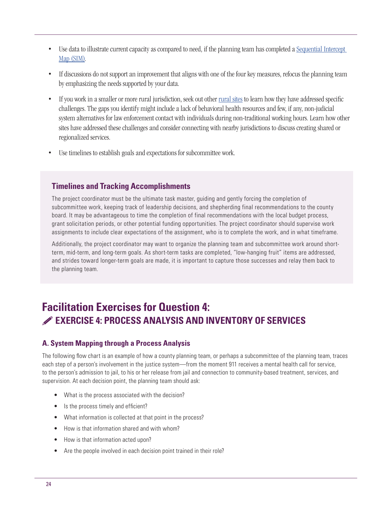- [Use data to illustrate current capacity as compared to need, if the planning team has completed a Sequential Intercept](https://www.prainc.com/wp-content/uploads/2015/10/SIMBrochure.pdf) Map (SIM).
- If discussions do not support an improvement that aligns with one of the four key measures, refocus the planning team by emphasizing the needs supported by your data.
- If you work in a smaller or more rural jurisdiction, seek out other [rural sites](http://www.naco.org/resources/reducing-mental-illness-rural-jails) to learn how they have addressed specific challenges. The gaps you identify might include a lack of behavioral health resources and few, if any, non-judicial system alternatives for law enforcement contact with individuals during non-traditional working hours. Learn how other sites have addressed these challenges and consider connecting with nearby jurisdictions to discuss creating shared or regionalized services.
- Use timelines to establish goals and expectations for subcommittee work.

### **Timelines and Tracking Accomplishments**

The project coordinator must be the ultimate task master, guiding and gently forcing the completion of subcommittee work, keeping track of leadership decisions, and shepherding final recommendations to the county board. It may be advantageous to time the completion of final recommendations with the local budget process, grant solicitation periods, or other potential funding opportunities. The project coordinator should supervise work assignments to include clear expectations of the assignment, who is to complete the work, and in what timeframe.

Additionally, the project coordinator may want to organize the planning team and subcommittee work around shortterm, mid-term, and long-term goals. As short-term tasks are completed, "low-hanging fruit" items are addressed, and strides toward longer-term goals are made, it is important to capture those successes and relay them back to the planning team.

# **Facilitation Exercises for Question 4: EXERCISE 4: PROCESS ANALYSIS AND INVENTORY OF SERVICES**

#### **A. System Mapping through a Process Analysis**

The following flow chart is an example of how a county planning team, or perhaps a subcommittee of the planning team, traces each step of a person's involvement in the justice system—from the moment 911 receives a mental health call for service, to the person's admission to jail, to his or her release from jail and connection to community-based treatment, services, and supervision. At each decision point, the planning team should ask:

- What is the process associated with the decision?
- Is the process timely and efficient?
- What information is collected at that point in the process?
- How is that information shared and with whom?
- How is that information acted upon?
- Are the people involved in each decision point trained in their role?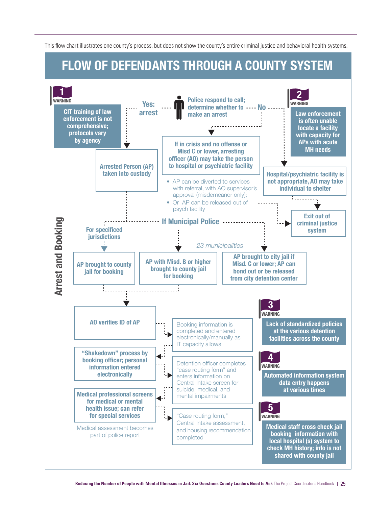This flow chart illustrates one county's process, but does not show the county's entire criminal justice and behavioral health systems.

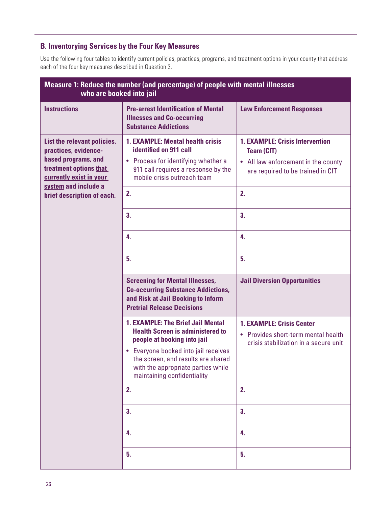#### **B. Inventorying Services by the Four Key Measures**

Use the following four tables to identify current policies, practices, programs, and treatment options in your county that address each of the four key measures described in Question 3.

| Measure 1: Reduce the number (and percentage) of people with mental illnesses<br>who are booked into jail                                                                             |                                                                                                                                                                                                                                                                       |                                                                                                                                         |  |
|---------------------------------------------------------------------------------------------------------------------------------------------------------------------------------------|-----------------------------------------------------------------------------------------------------------------------------------------------------------------------------------------------------------------------------------------------------------------------|-----------------------------------------------------------------------------------------------------------------------------------------|--|
| <b>Instructions</b>                                                                                                                                                                   | <b>Pre-arrest Identification of Mental</b><br><b>Illnesses and Co-occurring</b><br><b>Substance Addictions</b>                                                                                                                                                        | <b>Law Enforcement Responses</b>                                                                                                        |  |
| List the relevant policies,<br>practices, evidence-<br>based programs, and<br>treatment options that<br>currently exist in your<br>system and include a<br>brief description of each. | <b>1. EXAMPLE: Mental health crisis</b><br>identified on 911 call<br>Process for identifying whether a<br>$\bullet$<br>911 call requires a response by the<br>mobile crisis outreach team                                                                             | <b>1. EXAMPLE: Crisis Intervention</b><br><b>Team (CIT)</b><br>• All law enforcement in the county<br>are required to be trained in CIT |  |
|                                                                                                                                                                                       | 2.                                                                                                                                                                                                                                                                    | 2.                                                                                                                                      |  |
|                                                                                                                                                                                       | 3.                                                                                                                                                                                                                                                                    | 3.                                                                                                                                      |  |
|                                                                                                                                                                                       | 4.                                                                                                                                                                                                                                                                    | 4.                                                                                                                                      |  |
|                                                                                                                                                                                       | 5.                                                                                                                                                                                                                                                                    | 5.                                                                                                                                      |  |
|                                                                                                                                                                                       | <b>Screening for Mental Illnesses,</b><br><b>Co-occurring Substance Addictions,</b>                                                                                                                                                                                   | <b>Jail Diversion Opportunities</b>                                                                                                     |  |
|                                                                                                                                                                                       | and Risk at Jail Booking to Inform<br><b>Pretrial Release Decisions</b>                                                                                                                                                                                               |                                                                                                                                         |  |
|                                                                                                                                                                                       | <b>1. EXAMPLE: The Brief Jail Mental</b><br><b>Health Screen is administered to</b><br>people at booking into jail<br>• Everyone booked into jail receives<br>the screen, and results are shared<br>with the appropriate parties while<br>maintaining confidentiality | <b>1. EXAMPLE: Crisis Center</b><br><b>Provides short-term mental health</b><br>$\bullet$<br>crisis stabilization in a secure unit      |  |
|                                                                                                                                                                                       | 2.                                                                                                                                                                                                                                                                    | 2.                                                                                                                                      |  |
|                                                                                                                                                                                       | 3.                                                                                                                                                                                                                                                                    | 3.                                                                                                                                      |  |
|                                                                                                                                                                                       | 4.                                                                                                                                                                                                                                                                    | 4.                                                                                                                                      |  |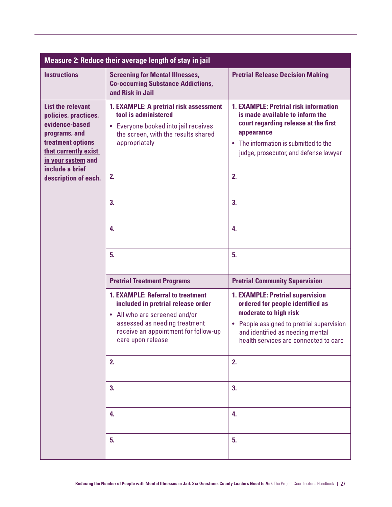| Measure 2: Reduce their average length of stay in jail                                                                                                                    |                                                                                                                                                                                                               |                                                                                                                                                                                                                         |  |
|---------------------------------------------------------------------------------------------------------------------------------------------------------------------------|---------------------------------------------------------------------------------------------------------------------------------------------------------------------------------------------------------------|-------------------------------------------------------------------------------------------------------------------------------------------------------------------------------------------------------------------------|--|
| <b>Instructions</b>                                                                                                                                                       | <b>Screening for Mental Illnesses,</b><br><b>Co-occurring Substance Addictions,</b><br>and Risk in Jail                                                                                                       | <b>Pretrial Release Decision Making</b>                                                                                                                                                                                 |  |
| <b>List the relevant</b><br>policies, practices,<br>evidence-based<br>programs, and<br>treatment options<br>that currently exist<br>in your system and<br>include a brief | 1. EXAMPLE: A pretrial risk assessment<br>tool is administered<br>• Everyone booked into jail receives<br>the screen, with the results shared<br>appropriately                                                | <b>1. EXAMPLE: Pretrial risk information</b><br>is made available to inform the<br>court regarding release at the first<br>appearance<br>• The information is submitted to the<br>judge, prosecutor, and defense lawyer |  |
| description of each.                                                                                                                                                      | 2.                                                                                                                                                                                                            | 2.                                                                                                                                                                                                                      |  |
|                                                                                                                                                                           | 3.                                                                                                                                                                                                            | 3.                                                                                                                                                                                                                      |  |
|                                                                                                                                                                           | 4.                                                                                                                                                                                                            | 4.                                                                                                                                                                                                                      |  |
|                                                                                                                                                                           | 5.                                                                                                                                                                                                            | 5.                                                                                                                                                                                                                      |  |
|                                                                                                                                                                           | <b>Pretrial Treatment Programs</b>                                                                                                                                                                            | <b>Pretrial Community Supervision</b>                                                                                                                                                                                   |  |
|                                                                                                                                                                           | <b>1. EXAMPLE: Referral to treatment</b><br>included in pretrial release order<br>• All who are screened and/or<br>assessed as needing treatment<br>receive an appointment for follow-up<br>care upon release | 1. EXAMPLE: Pretrial supervision<br>ordered for people identified as<br>moderate to high risk<br>• People assigned to pretrial supervision<br>and identified as needing mental<br>health services are connected to care |  |
|                                                                                                                                                                           | 2.                                                                                                                                                                                                            | 2.                                                                                                                                                                                                                      |  |
|                                                                                                                                                                           | 3.                                                                                                                                                                                                            | 3.                                                                                                                                                                                                                      |  |
|                                                                                                                                                                           | 4.                                                                                                                                                                                                            | 4.                                                                                                                                                                                                                      |  |
|                                                                                                                                                                           | 5.                                                                                                                                                                                                            | 5.                                                                                                                                                                                                                      |  |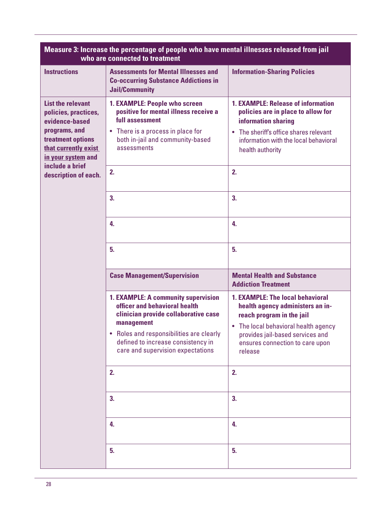| Measure 3: Increase the percentage of people who have mental illnesses released from jail<br>who are connected to treatment                                                                       |                                                                                                                                                                                                                                                 |                                                                                                                                                                                                                                    |  |
|---------------------------------------------------------------------------------------------------------------------------------------------------------------------------------------------------|-------------------------------------------------------------------------------------------------------------------------------------------------------------------------------------------------------------------------------------------------|------------------------------------------------------------------------------------------------------------------------------------------------------------------------------------------------------------------------------------|--|
| <b>Instructions</b>                                                                                                                                                                               | <b>Assessments for Mental Illnesses and</b><br><b>Co-occurring Substance Addictions in</b><br><b>Jail/Community</b>                                                                                                                             | <b>Information-Sharing Policies</b>                                                                                                                                                                                                |  |
| <b>List the relevant</b><br>policies, practices,<br>evidence-based<br>programs, and<br>treatment options<br>that currently exist<br>in your system and<br>include a brief<br>description of each. | 1. EXAMPLE: People who screen<br>positive for mental illness receive a<br>full assessment<br>• There is a process in place for<br>both in-jail and community-based<br>assessments<br>2.                                                         | <b>1. EXAMPLE: Release of information</b><br>policies are in place to allow for<br>information sharing<br>• The sheriff's office shares relevant<br>information with the local behavioral<br>health authority<br>2.                |  |
|                                                                                                                                                                                                   | 3.<br>4.                                                                                                                                                                                                                                        | 3.<br>4.                                                                                                                                                                                                                           |  |
|                                                                                                                                                                                                   | 5.<br><b>Case Management/Supervision</b>                                                                                                                                                                                                        | 5.<br><b>Mental Health and Substance</b>                                                                                                                                                                                           |  |
|                                                                                                                                                                                                   |                                                                                                                                                                                                                                                 | <b>Addiction Treatment</b>                                                                                                                                                                                                         |  |
|                                                                                                                                                                                                   | 1. EXAMPLE: A community supervision<br>officer and behavioral health<br>clinician provide collaborative case<br>management<br>Roles and responsibilities are clearly<br>defined to increase consistency in<br>care and supervision expectations | <b>1. EXAMPLE: The local behavioral</b><br>health agency administers an in-<br>reach program in the jail<br>• The local behavioral health agency<br>provides jail-based services and<br>ensures connection to care upon<br>release |  |
|                                                                                                                                                                                                   | 2.                                                                                                                                                                                                                                              | 2.                                                                                                                                                                                                                                 |  |
|                                                                                                                                                                                                   | 3.                                                                                                                                                                                                                                              | 3.                                                                                                                                                                                                                                 |  |
|                                                                                                                                                                                                   | 4.                                                                                                                                                                                                                                              | 4.                                                                                                                                                                                                                                 |  |
|                                                                                                                                                                                                   | 5.                                                                                                                                                                                                                                              | 5.                                                                                                                                                                                                                                 |  |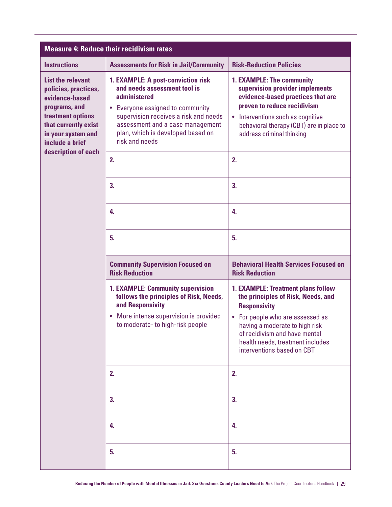| <b>Measure 4: Reduce their recidivism rates</b>                                                                                                                           |                                                                                                                                                                                                                                                            |                                                                                                                                                                                                                                                                                 |  |
|---------------------------------------------------------------------------------------------------------------------------------------------------------------------------|------------------------------------------------------------------------------------------------------------------------------------------------------------------------------------------------------------------------------------------------------------|---------------------------------------------------------------------------------------------------------------------------------------------------------------------------------------------------------------------------------------------------------------------------------|--|
| <b>Instructions</b>                                                                                                                                                       | <b>Assessments for Risk in Jail/Community</b>                                                                                                                                                                                                              | <b>Risk-Reduction Policies</b>                                                                                                                                                                                                                                                  |  |
| <b>List the relevant</b><br>policies, practices,<br>evidence-based<br>programs, and<br>treatment options<br>that currently exist<br>in your system and<br>include a brief | 1. EXAMPLE: A post-conviction risk<br>and needs assessment tool is<br>administered<br>• Everyone assigned to community<br>supervision receives a risk and needs<br>assessment and a case management<br>plan, which is developed based on<br>risk and needs | 1. EXAMPLE: The community<br>supervision provider implements<br>evidence-based practices that are<br>proven to reduce recidivism<br>• Interventions such as cognitive<br>behavioral therapy (CBT) are in place to<br>address criminal thinking                                  |  |
| description of each                                                                                                                                                       | 2.                                                                                                                                                                                                                                                         | 2.                                                                                                                                                                                                                                                                              |  |
|                                                                                                                                                                           | 3.                                                                                                                                                                                                                                                         | 3.                                                                                                                                                                                                                                                                              |  |
|                                                                                                                                                                           | 4.                                                                                                                                                                                                                                                         | 4.                                                                                                                                                                                                                                                                              |  |
|                                                                                                                                                                           | 5.                                                                                                                                                                                                                                                         | 5.                                                                                                                                                                                                                                                                              |  |
|                                                                                                                                                                           | <b>Community Supervision Focused on</b><br><b>Risk Reduction</b>                                                                                                                                                                                           | <b>Behavioral Health Services Focused on</b><br><b>Risk Reduction</b>                                                                                                                                                                                                           |  |
|                                                                                                                                                                           | <b>1. EXAMPLE: Community supervision</b><br>follows the principles of Risk, Needs,<br>and Responsivity<br>More intense supervision is provided<br>$\bullet$<br>to moderate- to high-risk people                                                            | <b>1. EXAMPLE: Treatment plans follow</b><br>the principles of Risk, Needs, and<br><b>Responsivity</b><br>• For people who are assessed as<br>having a moderate to high risk<br>of recidivism and have mental<br>health needs, treatment includes<br>interventions based on CBT |  |
|                                                                                                                                                                           | 2.                                                                                                                                                                                                                                                         | 2.                                                                                                                                                                                                                                                                              |  |
|                                                                                                                                                                           | 3.                                                                                                                                                                                                                                                         | 3.                                                                                                                                                                                                                                                                              |  |
|                                                                                                                                                                           | 4.                                                                                                                                                                                                                                                         | 4.                                                                                                                                                                                                                                                                              |  |
|                                                                                                                                                                           | 5.                                                                                                                                                                                                                                                         | 5.                                                                                                                                                                                                                                                                              |  |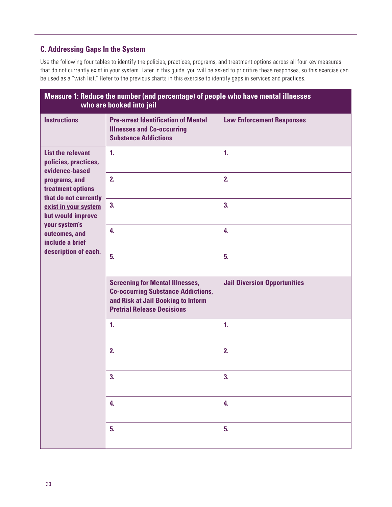#### **C. Addressing Gaps In the System**

Use the following four tables to identify the policies, practices, programs, and treatment options across all four key measures that do not currently exist in your system. Later in this guide, you will be asked to prioritize these responses, so this exercise can be used as a "wish list." Refer to the previous charts in this exercise to identify gaps in services and practices.

| Measure 1: Reduce the number (and percentage) of people who have mental illnesses<br>who are booked into jail                     |                                                                                                                                                                |                                     |  |
|-----------------------------------------------------------------------------------------------------------------------------------|----------------------------------------------------------------------------------------------------------------------------------------------------------------|-------------------------------------|--|
| <b>Instructions</b>                                                                                                               | <b>Pre-arrest Identification of Mental</b><br><b>Illnesses and Co-occurring</b><br><b>Substance Addictions</b>                                                 | <b>Law Enforcement Responses</b>    |  |
| <b>List the relevant</b><br>policies, practices,<br>evidence-based<br>programs, and<br>treatment options<br>that do not currently | $\mathbf{1}$ .                                                                                                                                                 | $\mathbf{1}$ .                      |  |
|                                                                                                                                   | 2.                                                                                                                                                             | 2.                                  |  |
| exist in your system<br>but would improve<br>your system's                                                                        | 3.                                                                                                                                                             | 3.                                  |  |
| outcomes, and<br>include a brief                                                                                                  | 4.                                                                                                                                                             | 4.                                  |  |
| description of each.                                                                                                              | 5.                                                                                                                                                             | 5 <sub>1</sub>                      |  |
|                                                                                                                                   | <b>Screening for Mental Illnesses,</b><br><b>Co-occurring Substance Addictions,</b><br>and Risk at Jail Booking to Inform<br><b>Pretrial Release Decisions</b> | <b>Jail Diversion Opportunities</b> |  |
|                                                                                                                                   | $\mathbf{1}$ .                                                                                                                                                 | $\mathbf{1}$ .                      |  |
|                                                                                                                                   | 2.                                                                                                                                                             | 2.                                  |  |
|                                                                                                                                   | 3.                                                                                                                                                             | 3.                                  |  |
|                                                                                                                                   | 4.                                                                                                                                                             | 4.                                  |  |
|                                                                                                                                   | 5.                                                                                                                                                             | 5.                                  |  |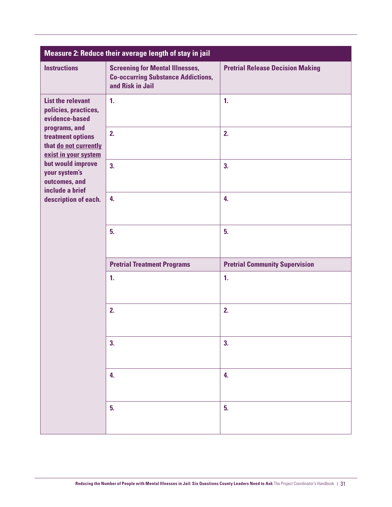| Measure 2: Reduce their average length of stay in jail                              |                                                                                                         |                                         |
|-------------------------------------------------------------------------------------|---------------------------------------------------------------------------------------------------------|-----------------------------------------|
| <b>Instructions</b>                                                                 | <b>Screening for Mental Illnesses,</b><br><b>Co-occurring Substance Addictions,</b><br>and Risk in Jail | <b>Pretrial Release Decision Making</b> |
| <b>List the relevant</b><br>policies, practices,<br>evidence-based                  | 1 <sub>1</sub>                                                                                          | 1.                                      |
| programs, and<br>treatment options<br>that do not currently<br>exist in your system | 2.                                                                                                      | 2.                                      |
| but would improve<br>your system's<br>outcomes, and<br>include a brief              | 3.                                                                                                      | 3.                                      |
| description of each.                                                                | 4.                                                                                                      | 4.                                      |
|                                                                                     | 5.                                                                                                      | 5.                                      |
|                                                                                     | <b>Pretrial Treatment Programs</b>                                                                      | <b>Pretrial Community Supervision</b>   |
|                                                                                     | $\mathbf{1}$                                                                                            | $\mathbf{1}$ .                          |
|                                                                                     | 2.                                                                                                      | 2.                                      |
|                                                                                     | 3.                                                                                                      | 3.                                      |
|                                                                                     | 4.                                                                                                      | 4.                                      |
|                                                                                     | 5.                                                                                                      | 5.                                      |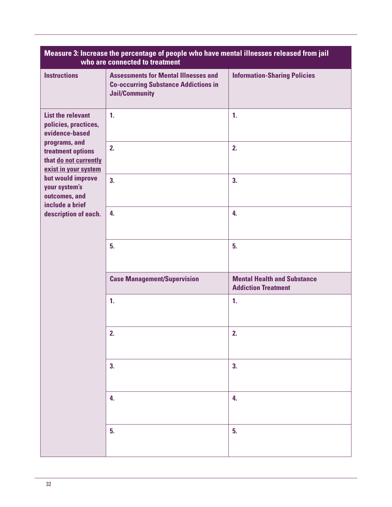| Measure 3: Increase the percentage of people who have mental illnesses released from jail<br>who are connected to treatment                                                                                                                                 |                                                                                                                     |                                                                  |
|-------------------------------------------------------------------------------------------------------------------------------------------------------------------------------------------------------------------------------------------------------------|---------------------------------------------------------------------------------------------------------------------|------------------------------------------------------------------|
| <b>Instructions</b>                                                                                                                                                                                                                                         | <b>Assessments for Mental Illnesses and</b><br><b>Co-occurring Substance Addictions in</b><br><b>Jail/Community</b> | <b>Information-Sharing Policies</b>                              |
| <b>List the relevant</b><br>policies, practices,<br>evidence-based<br>programs, and<br>treatment options<br>that do not currently<br>exist in your system<br>but would improve<br>your system's<br>outcomes, and<br>include a brief<br>description of each. | $\mathbf{1}$ .                                                                                                      | $\mathbf{1}$ .                                                   |
|                                                                                                                                                                                                                                                             | 2.                                                                                                                  | 2.                                                               |
|                                                                                                                                                                                                                                                             | 3.                                                                                                                  | 3.                                                               |
|                                                                                                                                                                                                                                                             | 4.                                                                                                                  | 4.                                                               |
|                                                                                                                                                                                                                                                             | 5.                                                                                                                  | 5.                                                               |
|                                                                                                                                                                                                                                                             | <b>Case Management/Supervision</b>                                                                                  | <b>Mental Health and Substance</b><br><b>Addiction Treatment</b> |
|                                                                                                                                                                                                                                                             | 1.                                                                                                                  | 1.                                                               |
|                                                                                                                                                                                                                                                             | 2.                                                                                                                  | 2.                                                               |
|                                                                                                                                                                                                                                                             | 3.                                                                                                                  | 3.                                                               |
|                                                                                                                                                                                                                                                             | 4.                                                                                                                  | 4.                                                               |
|                                                                                                                                                                                                                                                             | 5.                                                                                                                  | 5.                                                               |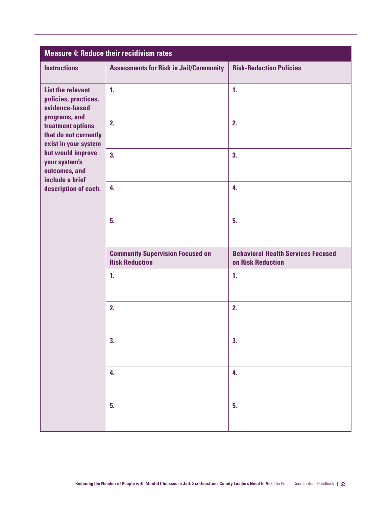| <b>Measure 4: Reduce their recidivism rates</b>                                                                                                                                                                  |                                                                  |                                                                |
|------------------------------------------------------------------------------------------------------------------------------------------------------------------------------------------------------------------|------------------------------------------------------------------|----------------------------------------------------------------|
| <b>Instructions</b>                                                                                                                                                                                              | <b>Assessments for Risk in Jail/Community</b>                    | <b>Risk-Reduction Policies</b>                                 |
| <b>List the relevant</b><br>policies, practices,<br>evidence-based<br>programs, and<br>treatment options<br>that do not currently<br>exist in your system<br>but would improve<br>your system's<br>outcomes, and | $\mathbf{1}$ .                                                   | $\mathbf{1}$ .                                                 |
|                                                                                                                                                                                                                  | 2.                                                               | 2.                                                             |
|                                                                                                                                                                                                                  | 3.                                                               | 3.                                                             |
| include a brief<br>description of each.                                                                                                                                                                          | 4.                                                               | 4.                                                             |
|                                                                                                                                                                                                                  | 5.                                                               | 5.                                                             |
|                                                                                                                                                                                                                  | <b>Community Supervision Focused on</b><br><b>Risk Reduction</b> | <b>Behavioral Health Services Focused</b><br>on Risk Reduction |
|                                                                                                                                                                                                                  | $\mathbf{1}$ .                                                   | $\mathbf{1}$ .                                                 |
|                                                                                                                                                                                                                  | 2.                                                               | 2.                                                             |
|                                                                                                                                                                                                                  | 3.                                                               | 3.                                                             |
|                                                                                                                                                                                                                  | 4.                                                               | 4.                                                             |
|                                                                                                                                                                                                                  | 5.                                                               | 5.                                                             |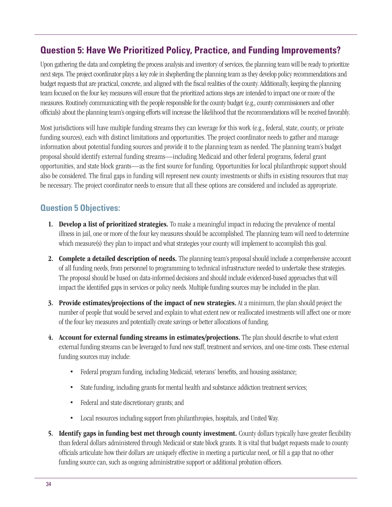# **Question 5: Have We Prioritized Policy, Practice, and Funding Improvements?**

Upon gathering the data and completing the process analysis and inventory of services, the planning team will be ready to prioritize next steps. The project coordinator plays a key role in shepherding the planning team as they develop policy recommendations and budget requests that are practical, concrete, and aligned with the fiscal realities of the county. Additionally, keeping the planning team focused on the four key measures will ensure that the prioritized actions steps are intended to impact one or more of the measures. Routinely communicating with the people responsible for the county budget (e.g., county commissioners and other officials) about the planning team's ongoing efforts will increase the likelihood that the recommendations will be received favorably.

Most jurisdictions will have multiple funding streams they can leverage for this work (e.g., federal, state, county, or private funding sources), each with distinct limitations and opportunities. The project coordinator needs to gather and manage information about potential funding sources and provide it to the planning team as needed. The planning team's budget proposal should identify external funding streams—including Medicaid and other federal programs, federal grant opportunities, and state block grants—as the first source for funding. Opportunities for local philanthropic support should also be considered. The final gaps in funding will represent new county investments or shifts in existing resources that may be necessary. The project coordinator needs to ensure that all these options are considered and included as appropriate.

# **Question 5 Objectives:**

- 1. Develop a list of prioritized strategies. To make a meaningful impact in reducing the prevalence of mental illness in jail, one or more of the four key measures should be accomplished. The planning team will need to determine which measure(s) they plan to impact and what strategies your county will implement to accomplish this goal.
- 2. Complete a detailed description of needs. The planning team's proposal should include a comprehensive account of all funding needs, from personnel to programming to technical infrastructure needed to undertake these strategies. The proposal should be based on data-informed decisions and should include evidenced-based approaches that will impact the identified gaps in services or policy needs. Multiple funding sources may be included in the plan.
- 3. Provide estimates/projections of the impact of new strategies. At a minimum, the plan should project the number of people that would be served and explain to what extent new or reallocated investments will affect one or more of the four key measures and potentially create savings or better allocations of funding.
- 4. Account for external funding streams in estimates/projections. The plan should describe to what extent external funding streams can be leveraged to fund new staff, treatment and services, and one-time costs. These external funding sources may include:
	- Federal program funding, including Medicaid, veterans' benefits, and housing assistance;
	- State funding, including grants for mental health and substance addiction treatment services;
	- Federal and state discretionary grants; and
	- Local resources including support from philanthropies, hospitals, and United Way.
- 5. Identify gaps in funding best met through county investment. County dollars typically have greater flexibility than federal dollars administered through Medicaid or state block grants. It is vital that budget requests made to county officials articulate how their dollars are uniquely effective in meeting a particular need, or fill a gap that no other funding source can, such as ongoing administrative support or additional probation officers.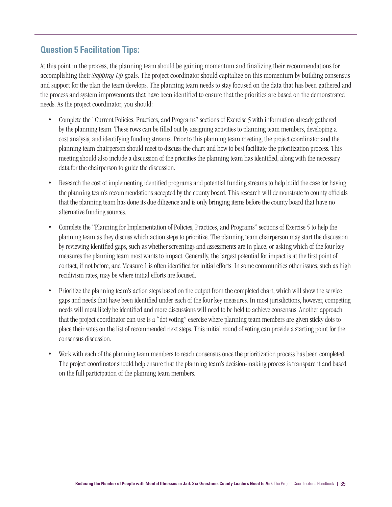### **Question 5 Facilitation Tips:**

At this point in the process, the planning team should be gaining momentum and finalizing their recommendations for accomplishing their *Stepping Up* goals. The project coordinator should capitalize on this momentum by building consensus and support for the plan the team develops. The planning team needs to stay focused on the data that has been gathered and the process and system improvements that have been identified to ensure that the priorities are based on the demonstrated needs. As the project coordinator, you should:

- Complete the "Current Policies, Practices, and Programs" sections of Exercise 5 with information already gathered by the planning team. These rows can be filled out by assigning activities to planning team members, developing a cost analysis, and identifying funding streams. Prior to this planning team meeting, the project coordinator and the planning team chairperson should meet to discuss the chart and how to best facilitate the prioritization process. This meeting should also include a discussion of the priorities the planning team has identified, along with the necessary data for the chairperson to guide the discussion.
- Research the cost of implementing identified programs and potential funding streams to help build the case for having the planning team's recommendations accepted by the county board. This research will demonstrate to county officials that the planning team has done its due diligence and is only bringing items before the county board that have no alternative funding sources.
- Complete the "Planning for Implementation of Policies, Practices, and Programs" sections of Exercise 5 to help the planning team as they discuss which action steps to prioritize. The planning team chairperson may start the discussion by reviewing identified gaps, such as whether screenings and assessments are in place, or asking which of the four key measures the planning team most wants to impact. Generally, the largest potential for impact is at the first point of contact, if not before, and Measure 1 is often identified for initial efforts. In some communities other issues, such as high recidivism rates, may be where initial efforts are focused.
- Prioritize the planning team's action steps based on the output from the completed chart, which will show the service gaps and needs that have been identified under each of the four key measures. In most jurisdictions, however, competing needs will most likely be identified and more discussions will need to be held to achieve consensus. Another approach that the project coordinator can use is a "dot voting" exercise where planning team members are given sticky dots to place their votes on the list of recommended next steps. This initial round of voting can provide a starting point for the consensus discussion.
- Work with each of the planning team members to reach consensus once the prioritization process has been completed. The project coordinator should help ensure that the planning team's decision-making process is transparent and based on the full participation of the planning team members.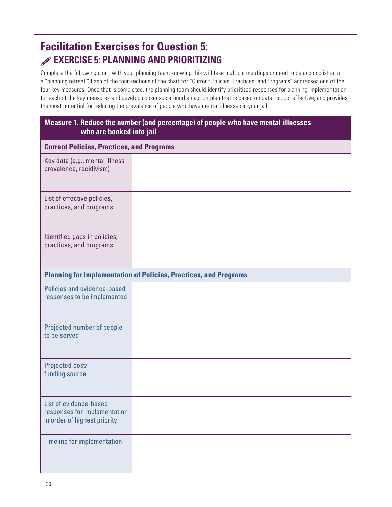# **Facilitation Exercises for Question 5: EXERCISE 5: PLANNING AND PRIORITIZING**

Complete the following chart with your planning team knowing this will take multiple meetings or need to be accomplished at a "planning retreat." Each of the four sections of the chart for "Current Policies, Practices, and Programs" addresses one of the four key measures. Once that is completed, the planning team should identify prioritized responses for planning implementation for each of the key measures and develop consensus around an action plan that is based on data, is cost effective, and provides the most potential for reducing the prevalence of people who have mental illnesses in your jail.

| Measure 1. Reduce the number (and percentage) of people who have mental illnesses<br>who are booked into jail |  |  |
|---------------------------------------------------------------------------------------------------------------|--|--|
| <b>Current Policies, Practices, and Programs</b>                                                              |  |  |
| Key data (e.g., mental illness<br>prevalence, recidivism)                                                     |  |  |
| List of effective policies,<br>practices, and programs                                                        |  |  |
| Identified gaps in policies,<br>practices, and programs                                                       |  |  |
| <b>Planning for Implementation of Policies, Practices, and Programs</b>                                       |  |  |
| Policies and evidence-based<br>responses to be implemented                                                    |  |  |
| Projected number of people<br>to be served                                                                    |  |  |
| Projected cost/<br>funding source                                                                             |  |  |
| List of evidence-based<br>responses for implementation<br>in order of highest priority                        |  |  |
| <b>Timeline for implementation</b>                                                                            |  |  |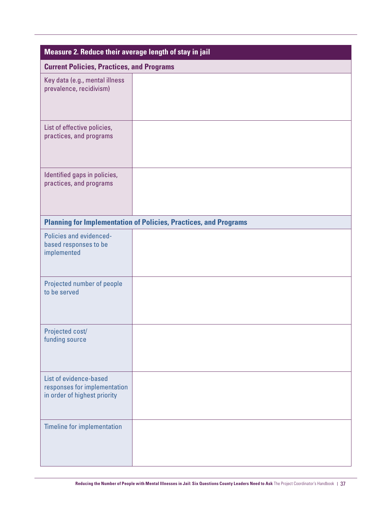| Measure 2. Reduce their average length of stay in jail                                 |                                                                         |  |
|----------------------------------------------------------------------------------------|-------------------------------------------------------------------------|--|
| <b>Current Policies, Practices, and Programs</b>                                       |                                                                         |  |
| Key data (e.g., mental illness<br>prevalence, recidivism)                              |                                                                         |  |
| List of effective policies,<br>practices, and programs                                 |                                                                         |  |
| Identified gaps in policies,<br>practices, and programs                                |                                                                         |  |
|                                                                                        | <b>Planning for Implementation of Policies, Practices, and Programs</b> |  |
| Policies and evidenced-<br>based responses to be<br>implemented                        |                                                                         |  |
| Projected number of people<br>to be served                                             |                                                                         |  |
| Projected cost/<br>funding source                                                      |                                                                         |  |
| List of evidence-based<br>responses for implementation<br>in order of highest priority |                                                                         |  |
| <b>Timeline for implementation</b>                                                     |                                                                         |  |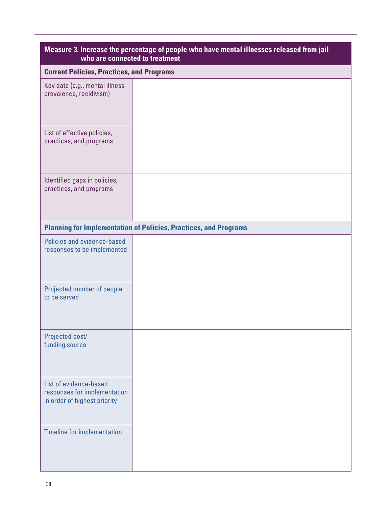| Measure 3. Increase the percentage of people who have mental illnesses released from jail<br>who are connected to treatment |                                                                         |  |
|-----------------------------------------------------------------------------------------------------------------------------|-------------------------------------------------------------------------|--|
| <b>Current Policies, Practices, and Programs</b>                                                                            |                                                                         |  |
| Key data (e.g., mental illness<br>prevalence, recidivism)                                                                   |                                                                         |  |
| List of effective policies,<br>practices, and programs                                                                      |                                                                         |  |
| Identified gaps in policies,<br>practices, and programs                                                                     |                                                                         |  |
|                                                                                                                             | <b>Planning for Implementation of Policies, Practices, and Programs</b> |  |
| Policies and evidence-based<br>responses to be implemented                                                                  |                                                                         |  |
| Projected number of people<br>to be served                                                                                  |                                                                         |  |
| Projected cost/<br>funding source                                                                                           |                                                                         |  |
| List of evidence-based<br>responses for implementation<br>in order of highest priority                                      |                                                                         |  |
| <b>Timeline for implementation</b>                                                                                          |                                                                         |  |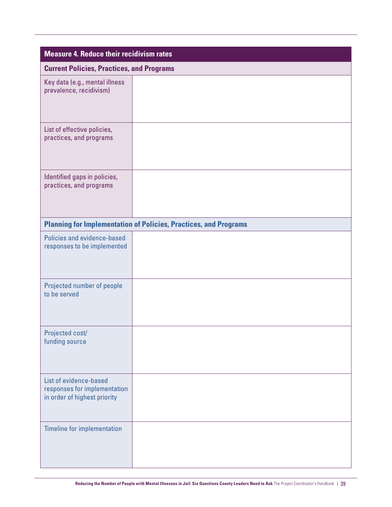| <b>Measure 4. Reduce their recidivism rates</b>                                        |                                                                         |  |
|----------------------------------------------------------------------------------------|-------------------------------------------------------------------------|--|
| <b>Current Policies, Practices, and Programs</b>                                       |                                                                         |  |
| Key data (e.g., mental illness<br>prevalence, recidivism)                              |                                                                         |  |
| List of effective policies,<br>practices, and programs                                 |                                                                         |  |
| Identified gaps in policies,<br>practices, and programs                                |                                                                         |  |
|                                                                                        | <b>Planning for Implementation of Policies, Practices, and Programs</b> |  |
| Policies and evidence-based<br>responses to be implemented                             |                                                                         |  |
| Projected number of people<br>to be served                                             |                                                                         |  |
| Projected cost/<br>funding source                                                      |                                                                         |  |
| List of evidence-based<br>responses for implementation<br>in order of highest priority |                                                                         |  |
| <b>Timeline for implementation</b>                                                     |                                                                         |  |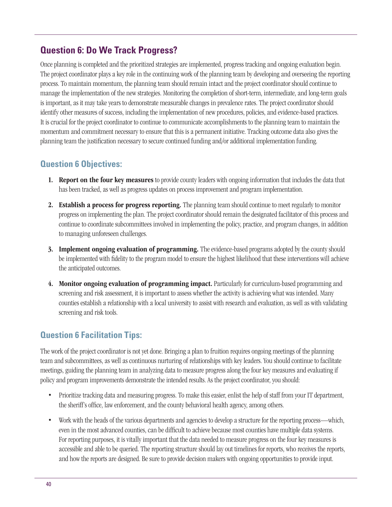# **Question 6: Do We Track Progress?**

Once planning is completed and the prioritized strategies are implemented, progress tracking and ongoing evaluation begin. The project coordinator plays a key role in the continuing work of the planning team by developing and overseeing the reporting process. To maintain momentum, the planning team should remain intact and the project coordinator should continue to manage the implementation of the new strategies. Monitoring the completion of short-term, intermediate, and long-term goals is important, as it may take years to demonstrate measurable changes in prevalence rates. The project coordinator should identify other measures of success, including the implementation of new procedures, policies, and evidence-based practices. It is crucial for the project coordinator to continue to communicate accomplishments to the planning team to maintain the momentum and commitment necessary to ensure that this is a permanent initiative. Tracking outcome data also gives the planning team the justification necessary to secure continued funding and/or additional implementation funding.

## **Question 6 Objectives:**

- 1. Report on the four key measures to provide county leaders with ongoing information that includes the data that has been tracked, as well as progress updates on process improvement and program implementation.
- 2. Establish a process for progress reporting. The planning team should continue to meet regularly to monitor progress on implementing the plan. The project coordinator should remain the designated facilitator of this process and continue to coordinate subcommittees involved in implementing the policy, practice, and program changes, in addition to managing unforeseen challenges.
- **3. Implement ongoing evaluation of programming.** The evidence-based programs adopted by the county should be implemented with fidelity to the program model to ensure the highest likelihood that these interventions will achieve the anticipated outcomes.
- 4. Monitor ongoing evaluation of programming impact. Particularly for curriculum-based programming and screening and risk assessment, it is important to assess whether the activity is achieving what was intended. Many counties establish a relationship with a local university to assist with research and evaluation, as well as with validating screening and risk tools.

# **Question 6 Facilitation Tips:**

The work of the project coordinator is not yet done. Bringing a plan to fruition requires ongoing meetings of the planning team and subcommittees, as well as continuous nurturing of relationships with key leaders. You should continue to facilitate meetings, guiding the planning team in analyzing data to measure progress along the four key measures and evaluating if policy and program improvements demonstrate the intended results. As the project coordinator, you should:

- Prioritize tracking data and measuring progress. To make this easier, enlist the help of staff from your IT department, the sheriff's office, law enforcement, and the county behavioral health agency, among others.
- Work with the heads of the various departments and agencies to develop a structure for the reporting process—which, even in the most advanced counties, can be difficult to achieve because most counties have multiple data systems. For reporting purposes, it is vitally important that the data needed to measure progress on the four key measures is accessible and able to be queried. The reporting structure should lay out timelines for reports, who receives the reports, and how the reports are designed. Be sure to provide decision makers with ongoing opportunities to provide input.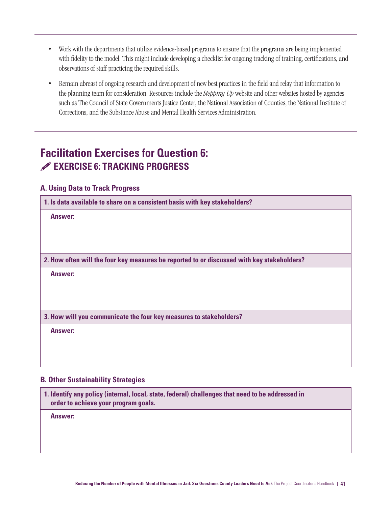- Work with the departments that utilize evidence-based programs to ensure that the programs are being implemented with fidelity to the model. This might include developing a checklist for ongoing tracking of training, certifications, and observations of staff practicing the required skills.
- Remain abreast of ongoing research and development of new best practices in the field and relay that information to the planning team for consideration. Resources include the *Stepping Up* website and other websites hosted by agencies such as The Council of State Governments Justice Center, the National Association of Counties, the National Institute of Corrections, and the Substance Abuse and Mental Health Services Administration.

# **Facilitation Exercises for Question 6: EXERCISE 6: TRACKING PROGRESS**

#### **A. Using Data to Track Progress**

**1. Is data available to share on a consistent basis with key stakeholders?**

**Answer:**

**2. How often will the four key measures be reported to or discussed with key stakeholders?**

**Answer:**

**3. How will you communicate the four key measures to stakeholders?** 

**Answer:**

#### **B. Other Sustainability Strategies**

**1. Identify any policy (internal, local, state, federal) challenges that need to be addressed in order to achieve your program goals.**

**Answer:**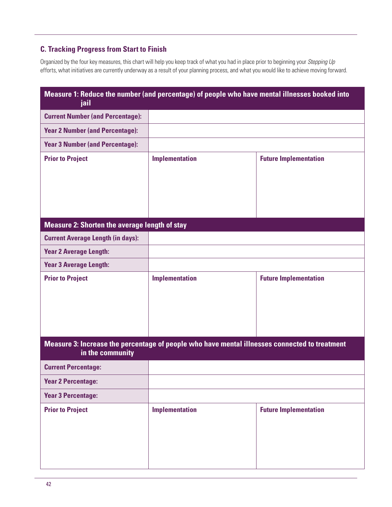#### **C. Tracking Progress from Start to Finish**

Organized by the four key measures, this chart will help you keep track of what you had in place prior to beginning your *Stepping Up* efforts, what initiatives are currently underway as a result of your planning process, and what you would like to achieve moving forward.

| Measure 1: Reduce the number (and percentage) of people who have mental illnesses booked into<br>jail             |                       |                              |
|-------------------------------------------------------------------------------------------------------------------|-----------------------|------------------------------|
| <b>Current Number (and Percentage):</b>                                                                           |                       |                              |
| <b>Year 2 Number (and Percentage):</b>                                                                            |                       |                              |
| <b>Year 3 Number (and Percentage):</b>                                                                            |                       |                              |
| <b>Prior to Project</b>                                                                                           | <b>Implementation</b> | <b>Future Implementation</b> |
| <b>Measure 2: Shorten the average length of stay</b>                                                              |                       |                              |
| <b>Current Average Length (in days):</b>                                                                          |                       |                              |
| <b>Year 2 Average Length:</b>                                                                                     |                       |                              |
| <b>Year 3 Average Length:</b>                                                                                     |                       |                              |
| <b>Prior to Project</b>                                                                                           | <b>Implementation</b> | <b>Future Implementation</b> |
| Measure 3: Increase the percentage of people who have mental illnesses connected to treatment<br>in the community |                       |                              |
| <b>Current Percentage:</b>                                                                                        |                       |                              |
| <b>Year 2 Percentage:</b>                                                                                         |                       |                              |
| <b>Year 3 Percentage:</b>                                                                                         |                       |                              |
| <b>Prior to Project</b>                                                                                           | <b>Implementation</b> | <b>Future Implementation</b> |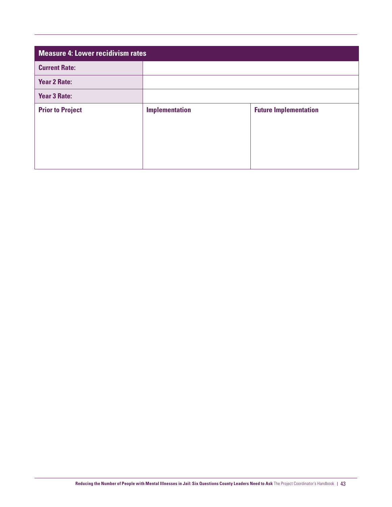| Measure 4: Lower recidivism rates |                       |                              |
|-----------------------------------|-----------------------|------------------------------|
| <b>Current Rate:</b>              |                       |                              |
| <b>Year 2 Rate:</b>               |                       |                              |
| <b>Year 3 Rate:</b>               |                       |                              |
| <b>Prior to Project</b>           | <b>Implementation</b> | <b>Future Implementation</b> |
|                                   |                       |                              |
|                                   |                       |                              |
|                                   |                       |                              |
|                                   |                       |                              |